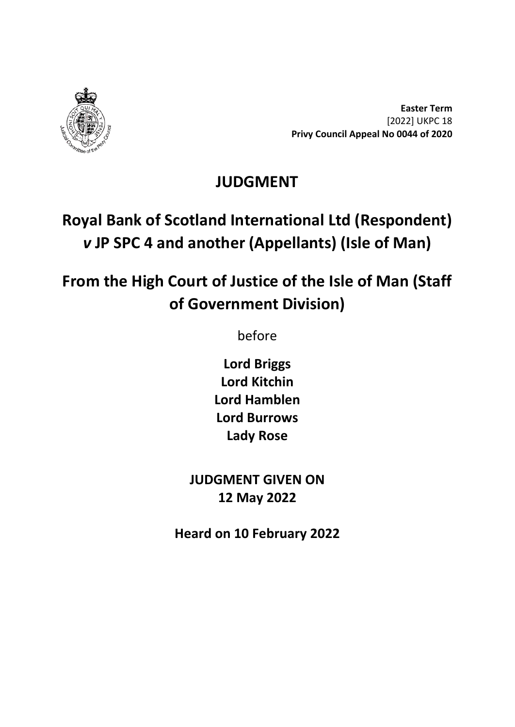

**Easter Term** [2022] UKPC 18 **Privy Council Appeal No 0044 of 2020**

## **JUDGMENT**

## **Royal Bank of Scotland International Ltd (Respondent)** *v* **JP SPC 4 and another (Appellants) (Isle of Man)**

# **From the High Court of Justice of the Isle of Man (Staff of Government Division)**

before

**Lord Briggs Lord Kitchin Lord Hamblen Lord Burrows Lady Rose**

**JUDGMENT GIVEN ON 12 May 2022**

**Heard on 10 February 2022**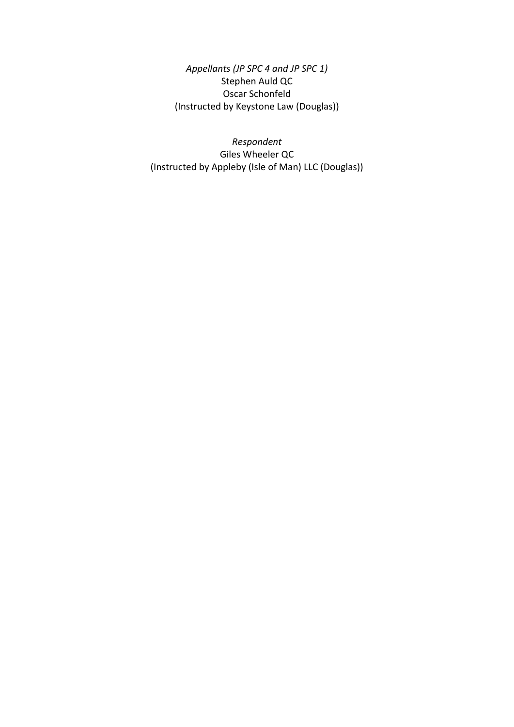*Appellants (JP SPC 4 and JP SPC 1)* Stephen Auld QC Oscar Schonfeld (Instructed by Keystone Law (Douglas))

*Respondent* Giles Wheeler QC (Instructed by Appleby (Isle of Man) LLC (Douglas))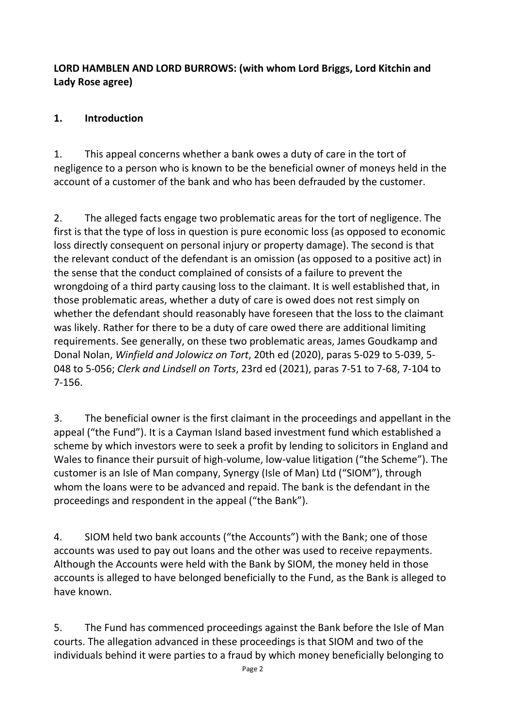### **LORD HAMBLEN AND LORD BURROWS: (with whom Lord Briggs, Lord Kitchin and Lady Rose agree)**

### **1. Introduction**

1. This appeal concerns whether a bank owes a duty of care in the tort of negligence to a person who is known to be the beneficial owner of moneys held in the account of a customer of the bank and who has been defrauded by the customer.

2. The alleged facts engage two problematic areas for the tort of negligence. The first is that the type of loss in question is pure economic loss (as opposed to economic loss directly consequent on personal injury or property damage). The second is that the relevant conduct of the defendant is an omission (as opposed to a positive act) in the sense that the conduct complained of consists of a failure to prevent the wrongdoing of a third party causing loss to the claimant. It is well established that, in those problematic areas, whether a duty of care is owed does not rest simply on whether the defendant should reasonably have foreseen that the loss to the claimant was likely. Rather for there to be a duty of care owed there are additional limiting requirements. See generally, on these two problematic areas, James Goudkamp and Donal Nolan, *Winfield and Jolowicz on Tort*, 20th ed (2020), paras 5-029 to 5-039, 5- 048 to 5-056; *Clerk and Lindsell on Torts*, 23rd ed (2021), paras 7-51 to 7-68, 7-104 to 7-156.

3. The beneficial owner is the first claimant in the proceedings and appellant in the appeal ("the Fund"). It is a Cayman Island based investment fund which established a scheme by which investors were to seek a profit by lending to solicitors in England and Wales to finance their pursuit of high-volume, low-value litigation ("the Scheme"). The customer is an Isle of Man company, Synergy (Isle of Man) Ltd ("SIOM"), through whom the loans were to be advanced and repaid. The bank is the defendant in the proceedings and respondent in the appeal ("the Bank").

4. SIOM held two bank accounts ("the Accounts") with the Bank; one of those accounts was used to pay out loans and the other was used to receive repayments. Although the Accounts were held with the Bank by SIOM, the money held in those accounts is alleged to have belonged beneficially to the Fund, as the Bank is alleged to have known.

5. The Fund has commenced proceedings against the Bank before the Isle of Man courts. The allegation advanced in these proceedings is that SIOM and two of the individuals behind it were parties to a fraud by which money beneficially belonging to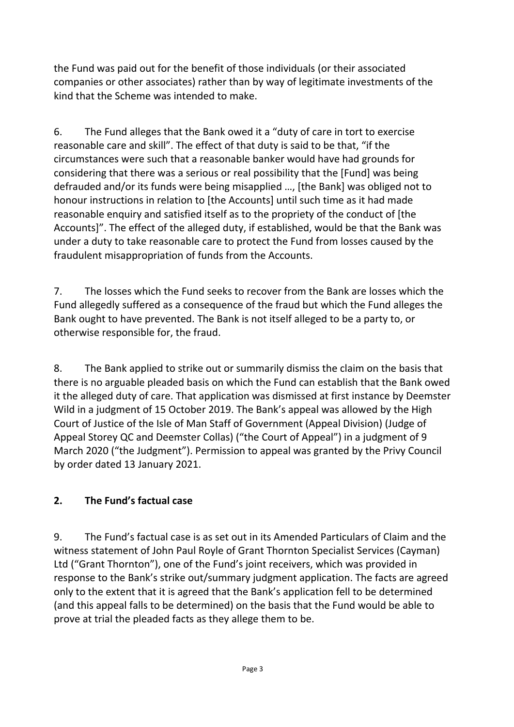the Fund was paid out for the benefit of those individuals (or their associated companies or other associates) rather than by way of legitimate investments of the kind that the Scheme was intended to make.

6. The Fund alleges that the Bank owed it a "duty of care in tort to exercise reasonable care and skill". The effect of that duty is said to be that, "if the circumstances were such that a reasonable banker would have had grounds for considering that there was a serious or real possibility that the [Fund] was being defrauded and/or its funds were being misapplied …, [the Bank] was obliged not to honour instructions in relation to [the Accounts] until such time as it had made reasonable enquiry and satisfied itself as to the propriety of the conduct of [the Accounts]". The effect of the alleged duty, if established, would be that the Bank was under a duty to take reasonable care to protect the Fund from losses caused by the fraudulent misappropriation of funds from the Accounts.

7. The losses which the Fund seeks to recover from the Bank are losses which the Fund allegedly suffered as a consequence of the fraud but which the Fund alleges the Bank ought to have prevented. The Bank is not itself alleged to be a party to, or otherwise responsible for, the fraud.

8. The Bank applied to strike out or summarily dismiss the claim on the basis that there is no arguable pleaded basis on which the Fund can establish that the Bank owed it the alleged duty of care. That application was dismissed at first instance by Deemster Wild in a judgment of 15 October 2019. The Bank's appeal was allowed by the High Court of Justice of the Isle of Man Staff of Government (Appeal Division) (Judge of Appeal Storey QC and Deemster Collas) ("the Court of Appeal") in a judgment of 9 March 2020 ("the Judgment"). Permission to appeal was granted by the Privy Council by order dated 13 January 2021.

## **2. The Fund's factual case**

9. The Fund's factual case is as set out in its Amended Particulars of Claim and the witness statement of John Paul Royle of Grant Thornton Specialist Services (Cayman) Ltd ("Grant Thornton"), one of the Fund's joint receivers, which was provided in response to the Bank's strike out/summary judgment application. The facts are agreed only to the extent that it is agreed that the Bank's application fell to be determined (and this appeal falls to be determined) on the basis that the Fund would be able to prove at trial the pleaded facts as they allege them to be.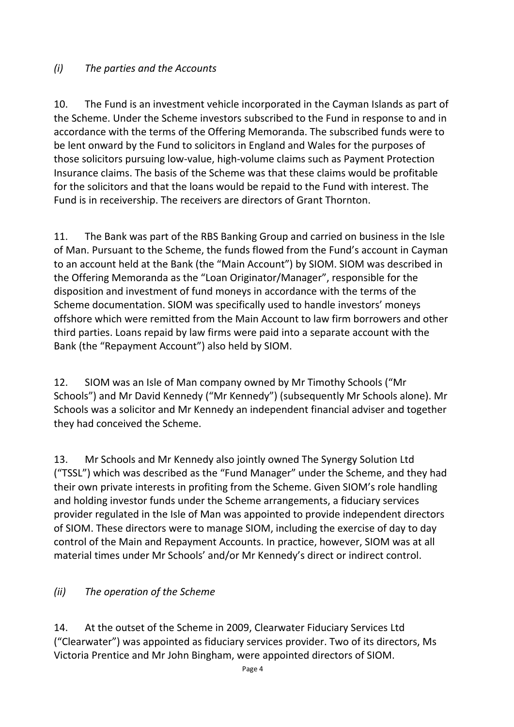### *(i) The parties and the Accounts*

10. The Fund is an investment vehicle incorporated in the Cayman Islands as part of the Scheme. Under the Scheme investors subscribed to the Fund in response to and in accordance with the terms of the Offering Memoranda. The subscribed funds were to be lent onward by the Fund to solicitors in England and Wales for the purposes of those solicitors pursuing low-value, high-volume claims such as Payment Protection Insurance claims. The basis of the Scheme was that these claims would be profitable for the solicitors and that the loans would be repaid to the Fund with interest. The Fund is in receivership. The receivers are directors of Grant Thornton.

11. The Bank was part of the RBS Banking Group and carried on business in the Isle of Man. Pursuant to the Scheme, the funds flowed from the Fund's account in Cayman to an account held at the Bank (the "Main Account") by SIOM. SIOM was described in the Offering Memoranda as the "Loan Originator/Manager", responsible for the disposition and investment of fund moneys in accordance with the terms of the Scheme documentation. SIOM was specifically used to handle investors' moneys offshore which were remitted from the Main Account to law firm borrowers and other third parties. Loans repaid by law firms were paid into a separate account with the Bank (the "Repayment Account") also held by SIOM.

12. SIOM was an Isle of Man company owned by Mr Timothy Schools ("Mr Schools") and Mr David Kennedy ("Mr Kennedy") (subsequently Mr Schools alone). Mr Schools was a solicitor and Mr Kennedy an independent financial adviser and together they had conceived the Scheme.

13. Mr Schools and Mr Kennedy also jointly owned The Synergy Solution Ltd ("TSSL") which was described as the "Fund Manager" under the Scheme, and they had their own private interests in profiting from the Scheme. Given SIOM's role handling and holding investor funds under the Scheme arrangements, a fiduciary services provider regulated in the Isle of Man was appointed to provide independent directors of SIOM. These directors were to manage SIOM, including the exercise of day to day control of the Main and Repayment Accounts. In practice, however, SIOM was at all material times under Mr Schools' and/or Mr Kennedy's direct or indirect control.

#### *(ii) The operation of the Scheme*

14. At the outset of the Scheme in 2009, Clearwater Fiduciary Services Ltd ("Clearwater") was appointed as fiduciary services provider. Two of its directors, Ms Victoria Prentice and Mr John Bingham, were appointed directors of SIOM.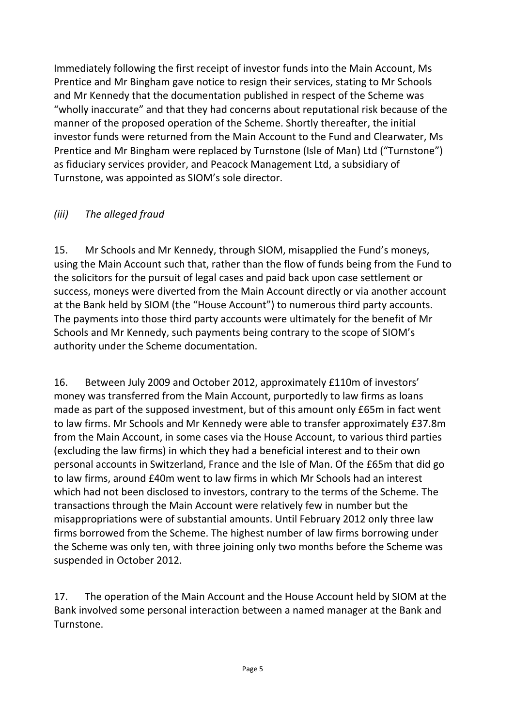Immediately following the first receipt of investor funds into the Main Account, Ms Prentice and Mr Bingham gave notice to resign their services, stating to Mr Schools and Mr Kennedy that the documentation published in respect of the Scheme was "wholly inaccurate" and that they had concerns about reputational risk because of the manner of the proposed operation of the Scheme. Shortly thereafter, the initial investor funds were returned from the Main Account to the Fund and Clearwater, Ms Prentice and Mr Bingham were replaced by Turnstone (Isle of Man) Ltd ("Turnstone") as fiduciary services provider, and Peacock Management Ltd, a subsidiary of Turnstone, was appointed as SIOM's sole director.

## *(iii) The alleged fraud*

15. Mr Schools and Mr Kennedy, through SIOM, misapplied the Fund's moneys, using the Main Account such that, rather than the flow of funds being from the Fund to the solicitors for the pursuit of legal cases and paid back upon case settlement or success, moneys were diverted from the Main Account directly or via another account at the Bank held by SIOM (the "House Account") to numerous third party accounts. The payments into those third party accounts were ultimately for the benefit of Mr Schools and Mr Kennedy, such payments being contrary to the scope of SIOM's authority under the Scheme documentation.

16. Between July 2009 and October 2012, approximately £110m of investors' money was transferred from the Main Account, purportedly to law firms as loans made as part of the supposed investment, but of this amount only £65m in fact went to law firms. Mr Schools and Mr Kennedy were able to transfer approximately £37.8m from the Main Account, in some cases via the House Account, to various third parties (excluding the law firms) in which they had a beneficial interest and to their own personal accounts in Switzerland, France and the Isle of Man. Of the £65m that did go to law firms, around £40m went to law firms in which Mr Schools had an interest which had not been disclosed to investors, contrary to the terms of the Scheme. The transactions through the Main Account were relatively few in number but the misappropriations were of substantial amounts. Until February 2012 only three law firms borrowed from the Scheme. The highest number of law firms borrowing under the Scheme was only ten, with three joining only two months before the Scheme was suspended in October 2012.

17. The operation of the Main Account and the House Account held by SIOM at the Bank involved some personal interaction between a named manager at the Bank and Turnstone.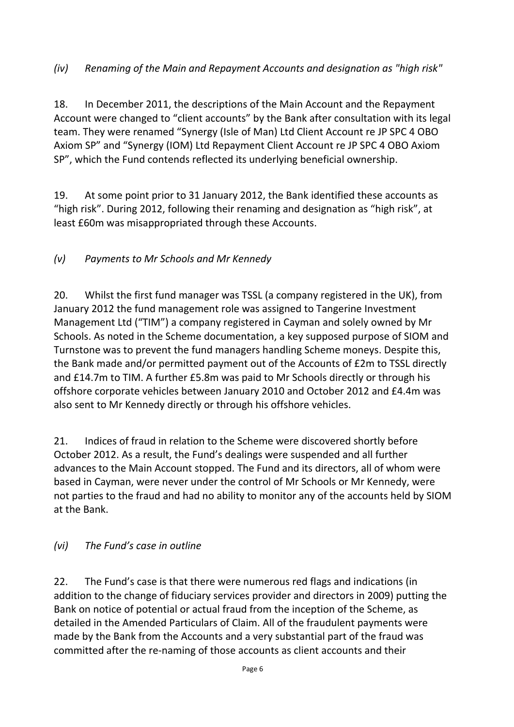### *(iv) Renaming of the Main and Repayment Accounts and designation as "high risk"*

18. In December 2011, the descriptions of the Main Account and the Repayment Account were changed to "client accounts" by the Bank after consultation with its legal team. They were renamed "Synergy (Isle of Man) Ltd Client Account re JP SPC 4 OBO Axiom SP" and "Synergy (IOM) Ltd Repayment Client Account re JP SPC 4 OBO Axiom SP", which the Fund contends reflected its underlying beneficial ownership.

19. At some point prior to 31 January 2012, the Bank identified these accounts as "high risk". During 2012, following their renaming and designation as "high risk", at least £60m was misappropriated through these Accounts.

## *(v) Payments to Mr Schools and Mr Kennedy*

20. Whilst the first fund manager was TSSL (a company registered in the UK), from January 2012 the fund management role was assigned to Tangerine Investment Management Ltd ("TIM") a company registered in Cayman and solely owned by Mr Schools. As noted in the Scheme documentation, a key supposed purpose of SIOM and Turnstone was to prevent the fund managers handling Scheme moneys. Despite this, the Bank made and/or permitted payment out of the Accounts of £2m to TSSL directly and £14.7m to TIM. A further £5.8m was paid to Mr Schools directly or through his offshore corporate vehicles between January 2010 and October 2012 and £4.4m was also sent to Mr Kennedy directly or through his offshore vehicles.

21. Indices of fraud in relation to the Scheme were discovered shortly before October 2012. As a result, the Fund's dealings were suspended and all further advances to the Main Account stopped. The Fund and its directors, all of whom were based in Cayman, were never under the control of Mr Schools or Mr Kennedy, were not parties to the fraud and had no ability to monitor any of the accounts held by SIOM at the Bank.

#### *(vi) The Fund's case in outline*

22. The Fund's case is that there were numerous red flags and indications (in addition to the change of fiduciary services provider and directors in 2009) putting the Bank on notice of potential or actual fraud from the inception of the Scheme, as detailed in the Amended Particulars of Claim. All of the fraudulent payments were made by the Bank from the Accounts and a very substantial part of the fraud was committed after the re-naming of those accounts as client accounts and their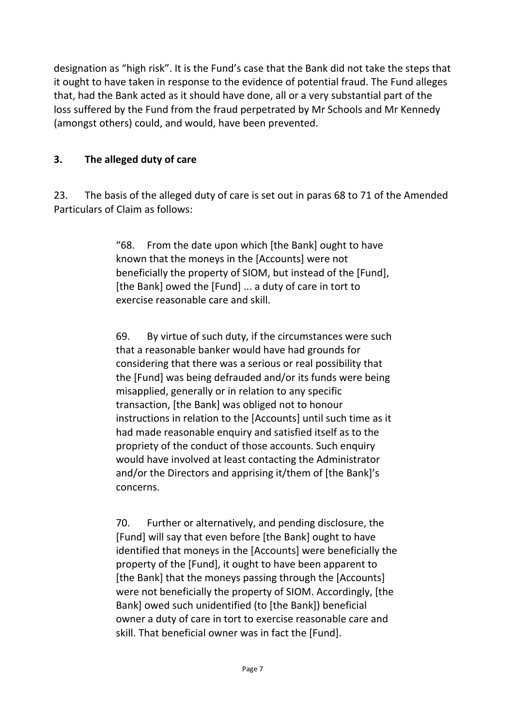designation as "high risk". It is the Fund's case that the Bank did not take the steps that it ought to have taken in response to the evidence of potential fraud. The Fund alleges that, had the Bank acted as it should have done, all or a very substantial part of the loss suffered by the Fund from the fraud perpetrated by Mr Schools and Mr Kennedy (amongst others) could, and would, have been prevented.

## **3. The alleged duty of care**

23. The basis of the alleged duty of care is set out in paras 68 to 71 of the Amended Particulars of Claim as follows:

> "68. From the date upon which [the Bank] ought to have known that the moneys in the [Accounts] were not beneficially the property of SIOM, but instead of the [Fund], [the Bank] owed the [Fund] ... a duty of care in tort to exercise reasonable care and skill.

69. By virtue of such duty, if the circumstances were such that a reasonable banker would have had grounds for considering that there was a serious or real possibility that the [Fund] was being defrauded and/or its funds were being misapplied, generally or in relation to any specific transaction, [the Bank] was obliged not to honour instructions in relation to the [Accounts] until such time as it had made reasonable enquiry and satisfied itself as to the propriety of the conduct of those accounts. Such enquiry would have involved at least contacting the Administrator and/or the Directors and apprising it/them of [the Bank]'s concerns.

70. Further or alternatively, and pending disclosure, the [Fund] will say that even before [the Bank] ought to have identified that moneys in the [Accounts] were beneficially the property of the [Fund], it ought to have been apparent to [the Bank] that the moneys passing through the [Accounts] were not beneficially the property of SIOM. Accordingly, [the Bank] owed such unidentified (to [the Bank]) beneficial owner a duty of care in tort to exercise reasonable care and skill. That beneficial owner was in fact the [Fund].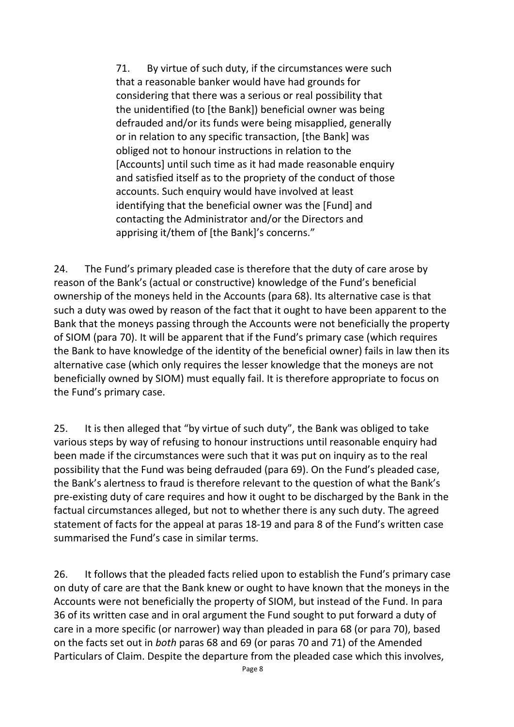71. By virtue of such duty, if the circumstances were such that a reasonable banker would have had grounds for considering that there was a serious or real possibility that the unidentified (to [the Bank]) beneficial owner was being defrauded and/or its funds were being misapplied, generally or in relation to any specific transaction, [the Bank] was obliged not to honour instructions in relation to the [Accounts] until such time as it had made reasonable enquiry and satisfied itself as to the propriety of the conduct of those accounts. Such enquiry would have involved at least identifying that the beneficial owner was the [Fund] and contacting the Administrator and/or the Directors and apprising it/them of [the Bank]'s concerns."

24. The Fund's primary pleaded case is therefore that the duty of care arose by reason of the Bank's (actual or constructive) knowledge of the Fund's beneficial ownership of the moneys held in the Accounts (para 68). Its alternative case is that such a duty was owed by reason of the fact that it ought to have been apparent to the Bank that the moneys passing through the Accounts were not beneficially the property of SIOM (para 70). It will be apparent that if the Fund's primary case (which requires the Bank to have knowledge of the identity of the beneficial owner) fails in law then its alternative case (which only requires the lesser knowledge that the moneys are not beneficially owned by SIOM) must equally fail. It is therefore appropriate to focus on the Fund's primary case.

25. It is then alleged that "by virtue of such duty", the Bank was obliged to take various steps by way of refusing to honour instructions until reasonable enquiry had been made if the circumstances were such that it was put on inquiry as to the real possibility that the Fund was being defrauded (para 69). On the Fund's pleaded case, the Bank's alertness to fraud is therefore relevant to the question of what the Bank's pre-existing duty of care requires and how it ought to be discharged by the Bank in the factual circumstances alleged, but not to whether there is any such duty. The agreed statement of facts for the appeal at paras 18-19 and para 8 of the Fund's written case summarised the Fund's case in similar terms.

26. It follows that the pleaded facts relied upon to establish the Fund's primary case on duty of care are that the Bank knew or ought to have known that the moneys in the Accounts were not beneficially the property of SIOM, but instead of the Fund. In para 36 of its written case and in oral argument the Fund sought to put forward a duty of care in a more specific (or narrower) way than pleaded in para 68 (or para 70), based on the facts set out in *both* paras 68 and 69 (or paras 70 and 71) of the Amended Particulars of Claim. Despite the departure from the pleaded case which this involves,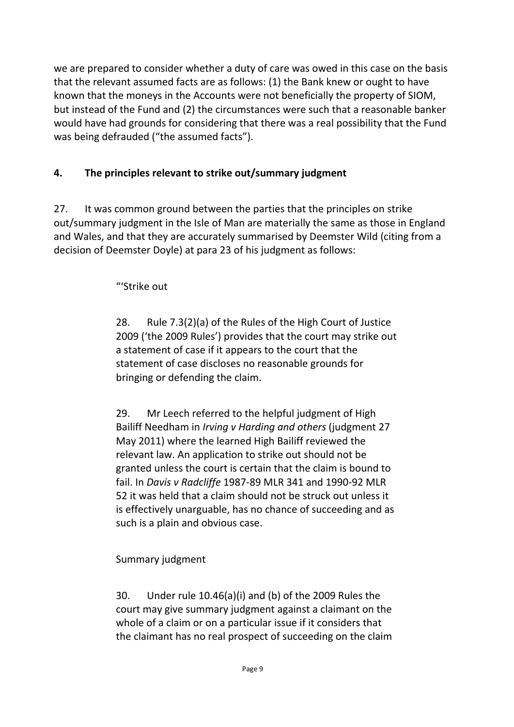we are prepared to consider whether a duty of care was owed in this case on the basis that the relevant assumed facts are as follows: (1) the Bank knew or ought to have known that the moneys in the Accounts were not beneficially the property of SIOM, but instead of the Fund and (2) the circumstances were such that a reasonable banker would have had grounds for considering that there was a real possibility that the Fund was being defrauded ("the assumed facts").

## **4. The principles relevant to strike out/summary judgment**

27. It was common ground between the parties that the principles on strike out/summary judgment in the Isle of Man are materially the same as those in England and Wales, and that they are accurately summarised by Deemster Wild (citing from a decision of Deemster Doyle) at para 23 of his judgment as follows:

"'Strike out

28. Rule 7.3(2)(a) of the Rules of the High Court of Justice 2009 ('the 2009 Rules') provides that the court may strike out a statement of case if it appears to the court that the statement of case discloses no reasonable grounds for bringing or defending the claim.

29. Mr Leech referred to the helpful judgment of High Bailiff Needham in *Irving v Harding and others* (judgment 27 May 2011) where the learned High Bailiff reviewed the relevant law. An application to strike out should not be granted unless the court is certain that the claim is bound to fail. In *Davis v Radcliffe* 1987-89 MLR 341 and 1990-92 MLR 52 it was held that a claim should not be struck out unless it is effectively unarguable, has no chance of succeeding and as such is a plain and obvious case.

Summary judgment

30. Under rule 10.46(a)(i) and (b) of the 2009 Rules the court may give summary judgment against a claimant on the whole of a claim or on a particular issue if it considers that the claimant has no real prospect of succeeding on the claim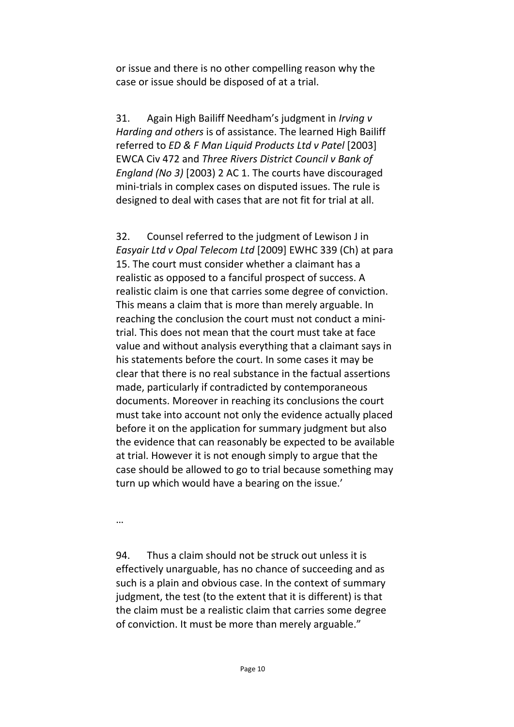or issue and there is no other compelling reason why the case or issue should be disposed of at a trial.

31. Again High Bailiff Needham's judgment in *Irving v Harding and others* is of assistance. The learned High Bailiff referred to *ED & F Man Liquid Products Ltd v Patel* [2003] EWCA Civ 472 and *Three Rivers District Council v Bank of England (No 3)* [2003) 2 AC 1. The courts have discouraged mini-trials in complex cases on disputed issues. The rule is designed to deal with cases that are not fit for trial at all.

32. Counsel referred to the judgment of Lewison J in *Easyair Ltd v Opal Telecom Ltd* [2009] EWHC 339 (Ch) at para 15. The court must consider whether a claimant has a realistic as opposed to a fanciful prospect of success. A realistic claim is one that carries some degree of conviction. This means a claim that is more than merely arguable. In reaching the conclusion the court must not conduct a minitrial. This does not mean that the court must take at face value and without analysis everything that a claimant says in his statements before the court. In some cases it may be clear that there is no real substance in the factual assertions made, particularly if contradicted by contemporaneous documents. Moreover in reaching its conclusions the court must take into account not only the evidence actually placed before it on the application for summary judgment but also the evidence that can reasonably be expected to be available at trial. However it is not enough simply to argue that the case should be allowed to go to trial because something may turn up which would have a bearing on the issue.'

…

94. Thus a claim should not be struck out unless it is effectively unarguable, has no chance of succeeding and as such is a plain and obvious case. In the context of summary judgment, the test (to the extent that it is different) is that the claim must be a realistic claim that carries some degree of conviction. It must be more than merely arguable."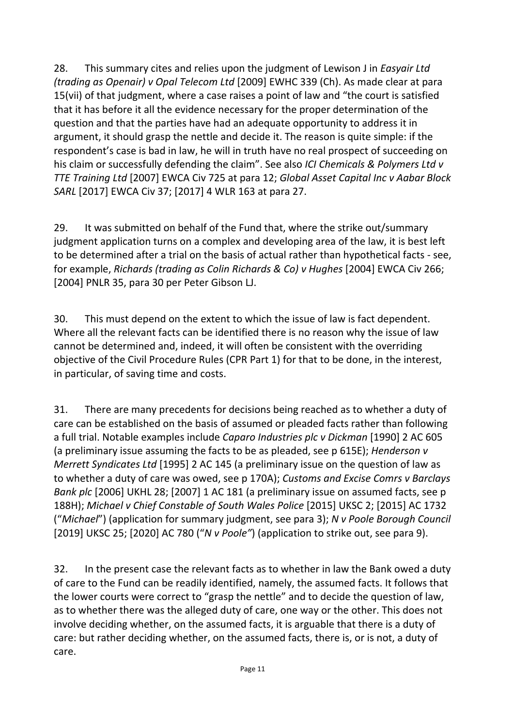28. This summary cites and relies upon the judgment of Lewison J in *Easyair Ltd (trading as Openair) v Opal Telecom Ltd* [2009] EWHC 339 (Ch). As made clear at para 15(vii) of that judgment, where a case raises a point of law and "the court is satisfied that it has before it all the evidence necessary for the proper determination of the question and that the parties have had an adequate opportunity to address it in argument, it should grasp the nettle and decide it. The reason is quite simple: if the respondent's case is bad in law, he will in truth have no real prospect of succeeding on his claim or successfully defending the claim". See also *ICI Chemicals & Polymers Ltd v TTE Training Ltd* [2007] EWCA Civ 725 at para 12; *Global Asset Capital Inc v Aabar Block SARL* [2017] EWCA Civ 37; [2017] 4 WLR 163 at para 27.

29. It was submitted on behalf of the Fund that, where the strike out/summary judgment application turns on a complex and developing area of the law, it is best left to be determined after a trial on the basis of actual rather than hypothetical facts - see, for example, *Richards (trading as Colin Richards & Co) v Hughes* [2004] EWCA Civ 266; [2004] PNLR 35, para 30 per Peter Gibson LJ.

30. This must depend on the extent to which the issue of law is fact dependent. Where all the relevant facts can be identified there is no reason why the issue of law cannot be determined and, indeed, it will often be consistent with the overriding objective of the Civil Procedure Rules (CPR Part 1) for that to be done, in the interest, in particular, of saving time and costs.

31. There are many precedents for decisions being reached as to whether a duty of care can be established on the basis of assumed or pleaded facts rather than following a full trial. Notable examples include *Caparo Industries plc v Dickman* [1990] 2 AC 605 (a preliminary issue assuming the facts to be as pleaded, see p 615E); *Henderson v Merrett Syndicates Ltd* [1995] 2 AC 145 (a preliminary issue on the question of law as to whether a duty of care was owed, see p 170A); *Customs and Excise Comrs v Barclays Bank plc* [2006] UKHL 28; [2007] 1 AC 181 (a preliminary issue on assumed facts, see p 188H); *Michael v Chief Constable of South Wales Police* [2015] UKSC 2; [2015] AC 1732 ("*Michael*") (application for summary judgment, see para 3); *N v Poole Borough Council* [2019] UKSC 25; [2020] AC 780 ("*N v Poole"*) (application to strike out, see para 9).

32. In the present case the relevant facts as to whether in law the Bank owed a duty of care to the Fund can be readily identified, namely, the assumed facts. It follows that the lower courts were correct to "grasp the nettle" and to decide the question of law, as to whether there was the alleged duty of care, one way or the other. This does not involve deciding whether, on the assumed facts, it is arguable that there is a duty of care: but rather deciding whether, on the assumed facts, there is, or is not, a duty of care.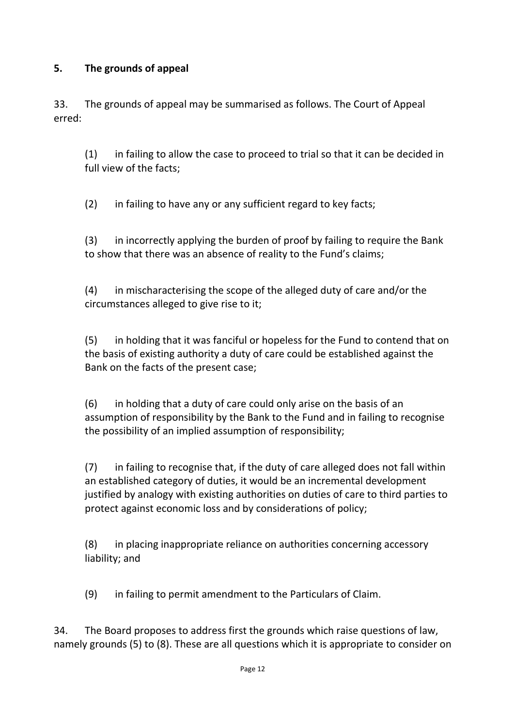### **5. The grounds of appeal**

33. The grounds of appeal may be summarised as follows. The Court of Appeal erred:

(1) in failing to allow the case to proceed to trial so that it can be decided in full view of the facts;

(2) in failing to have any or any sufficient regard to key facts;

(3) in incorrectly applying the burden of proof by failing to require the Bank to show that there was an absence of reality to the Fund's claims;

(4) in mischaracterising the scope of the alleged duty of care and/or the circumstances alleged to give rise to it;

(5) in holding that it was fanciful or hopeless for the Fund to contend that on the basis of existing authority a duty of care could be established against the Bank on the facts of the present case;

(6) in holding that a duty of care could only arise on the basis of an assumption of responsibility by the Bank to the Fund and in failing to recognise the possibility of an implied assumption of responsibility;

(7) in failing to recognise that, if the duty of care alleged does not fall within an established category of duties, it would be an incremental development justified by analogy with existing authorities on duties of care to third parties to protect against economic loss and by considerations of policy;

(8) in placing inappropriate reliance on authorities concerning accessory liability; and

(9) in failing to permit amendment to the Particulars of Claim.

34. The Board proposes to address first the grounds which raise questions of law, namely grounds (5) to (8). These are all questions which it is appropriate to consider on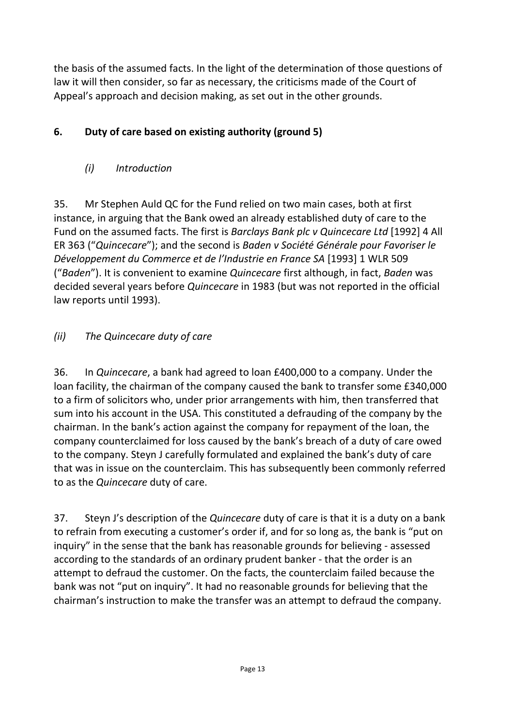the basis of the assumed facts. In the light of the determination of those questions of law it will then consider, so far as necessary, the criticisms made of the Court of Appeal's approach and decision making, as set out in the other grounds.

## **6. Duty of care based on existing authority (ground 5)**

## *(i) Introduction*

35. Mr Stephen Auld QC for the Fund relied on two main cases, both at first instance, in arguing that the Bank owed an already established duty of care to the Fund on the assumed facts. The first is *Barclays Bank plc v Quincecare Ltd* [1992] 4 All ER 363 ("*Quincecare*"); and the second is *Baden v Société Générale pour Favoriser le Développement du Commerce et de l'Industrie en France SA* [1993] 1 WLR 509 ("*Baden*"). It is convenient to examine *Quincecare* first although, in fact, *Baden* was decided several years before *Quincecare* in 1983 (but was not reported in the official law reports until 1993).

## *(ii) The Quincecare duty of care*

36. In *Quincecare*, a bank had agreed to loan £400,000 to a company. Under the loan facility, the chairman of the company caused the bank to transfer some £340,000 to a firm of solicitors who, under prior arrangements with him, then transferred that sum into his account in the USA. This constituted a defrauding of the company by the chairman. In the bank's action against the company for repayment of the loan, the company counterclaimed for loss caused by the bank's breach of a duty of care owed to the company. Steyn J carefully formulated and explained the bank's duty of care that was in issue on the counterclaim. This has subsequently been commonly referred to as the *Quincecare* duty of care.

37. Steyn J's description of the *Quincecare* duty of care is that it is a duty on a bank to refrain from executing a customer's order if, and for so long as, the bank is "put on inquiry" in the sense that the bank has reasonable grounds for believing - assessed according to the standards of an ordinary prudent banker - that the order is an attempt to defraud the customer. On the facts, the counterclaim failed because the bank was not "put on inquiry". It had no reasonable grounds for believing that the chairman's instruction to make the transfer was an attempt to defraud the company.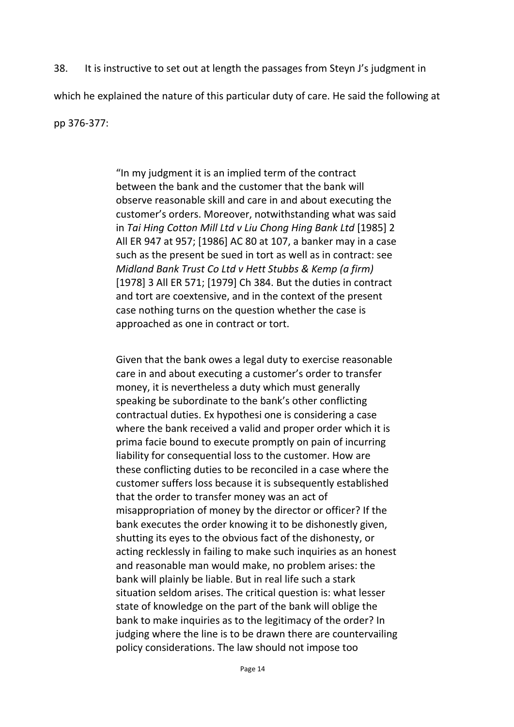38. It is instructive to set out at length the passages from Steyn J's judgment in

which he explained the nature of this particular duty of care. He said the following at

pp 376-377:

"In my judgment it is an implied term of the contract between the bank and the customer that the bank will observe reasonable skill and care in and about executing the customer's orders. Moreover, notwithstanding what was said in *Tai Hing Cotton Mill Ltd v Liu Chong Hing Bank Ltd* [1985] 2 All ER 947 at 957; [1986] AC 80 at 107, a banker may in a case such as the present be sued in tort as well as in contract: see *Midland Bank Trust Co Ltd v Hett Stubbs & Kemp (a firm)* [1978] 3 All ER 571; [1979] Ch 384. But the duties in contract and tort are coextensive, and in the context of the present case nothing turns on the question whether the case is approached as one in contract or tort.

Given that the bank owes a legal duty to exercise reasonable care in and about executing a customer's order to transfer money, it is nevertheless a duty which must generally speaking be subordinate to the bank's other conflicting contractual duties. Ex hypothesi one is considering a case where the bank received a valid and proper order which it is prima facie bound to execute promptly on pain of incurring liability for consequential loss to the customer. How are these conflicting duties to be reconciled in a case where the customer suffers loss because it is subsequently established that the order to transfer money was an act of misappropriation of money by the director or officer? If the bank executes the order knowing it to be dishonestly given, shutting its eyes to the obvious fact of the dishonesty, or acting recklessly in failing to make such inquiries as an honest and reasonable man would make, no problem arises: the bank will plainly be liable. But in real life such a stark situation seldom arises. The critical question is: what lesser state of knowledge on the part of the bank will oblige the bank to make inquiries as to the legitimacy of the order? In judging where the line is to be drawn there are countervailing policy considerations. The law should not impose too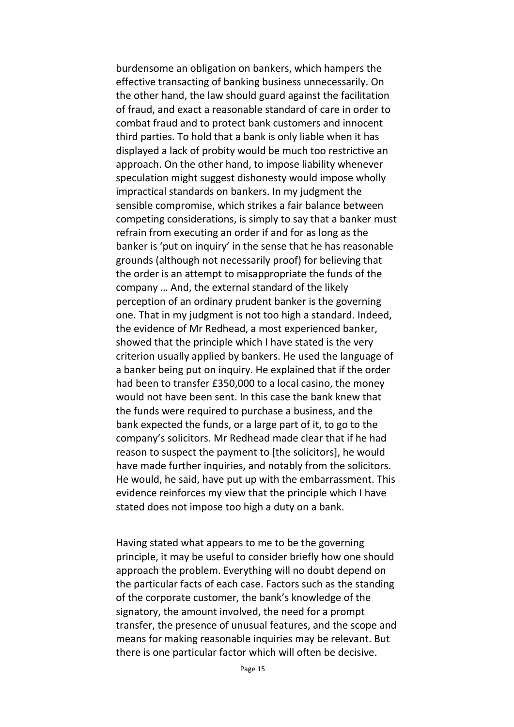burdensome an obligation on bankers, which hampers the effective transacting of banking business unnecessarily. On the other hand, the law should guard against the facilitation of fraud, and exact a reasonable standard of care in order to combat fraud and to protect bank customers and innocent third parties. To hold that a bank is only liable when it has displayed a lack of probity would be much too restrictive an approach. On the other hand, to impose liability whenever speculation might suggest dishonesty would impose wholly impractical standards on bankers. In my judgment the sensible compromise, which strikes a fair balance between competing considerations, is simply to say that a banker must refrain from executing an order if and for as long as the banker is 'put on inquiry' in the sense that he has reasonable grounds (although not necessarily proof) for believing that the order is an attempt to misappropriate the funds of the company … And, the external standard of the likely perception of an ordinary prudent banker is the governing one. That in my judgment is not too high a standard. Indeed, the evidence of Mr Redhead, a most experienced banker, showed that the principle which I have stated is the very criterion usually applied by bankers. He used the language of a banker being put on inquiry. He explained that if the order had been to transfer £350,000 to a local casino, the money would not have been sent. In this case the bank knew that the funds were required to purchase a business, and the bank expected the funds, or a large part of it, to go to the company's solicitors. Mr Redhead made clear that if he had reason to suspect the payment to [the solicitors], he would have made further inquiries, and notably from the solicitors. He would, he said, have put up with the embarrassment. This evidence reinforces my view that the principle which I have stated does not impose too high a duty on a bank.

Having stated what appears to me to be the governing principle, it may be useful to consider briefly how one should approach the problem. Everything will no doubt depend on the particular facts of each case. Factors such as the standing of the corporate customer, the bank's knowledge of the signatory, the amount involved, the need for a prompt transfer, the presence of unusual features, and the scope and means for making reasonable inquiries may be relevant. But there is one particular factor which will often be decisive.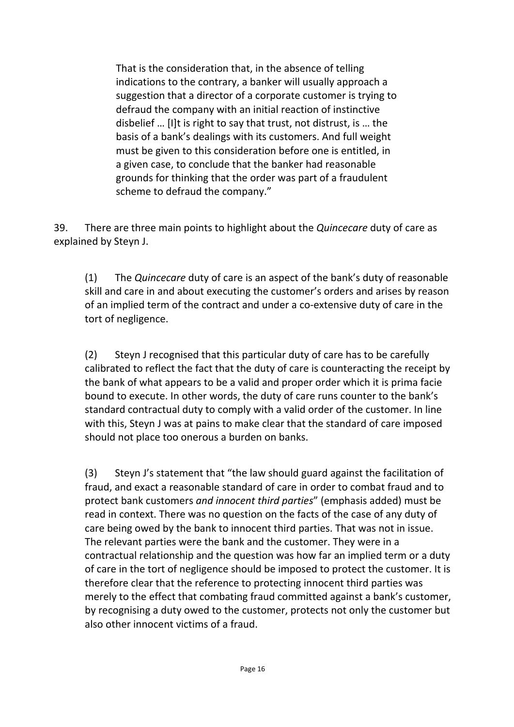That is the consideration that, in the absence of telling indications to the contrary, a banker will usually approach a suggestion that a director of a corporate customer is trying to defraud the company with an initial reaction of instinctive disbelief … [I]t is right to say that trust, not distrust, is … the basis of a bank's dealings with its customers. And full weight must be given to this consideration before one is entitled, in a given case, to conclude that the banker had reasonable grounds for thinking that the order was part of a fraudulent scheme to defraud the company."

39. There are three main points to highlight about the *Quincecare* duty of care as explained by Steyn J.

(1) The *Quincecare* duty of care is an aspect of the bank's duty of reasonable skill and care in and about executing the customer's orders and arises by reason of an implied term of the contract and under a co-extensive duty of care in the tort of negligence.

(2) Steyn J recognised that this particular duty of care has to be carefully calibrated to reflect the fact that the duty of care is counteracting the receipt by the bank of what appears to be a valid and proper order which it is prima facie bound to execute. In other words, the duty of care runs counter to the bank's standard contractual duty to comply with a valid order of the customer. In line with this, Steyn J was at pains to make clear that the standard of care imposed should not place too onerous a burden on banks.

(3) Steyn J's statement that "the law should guard against the facilitation of fraud, and exact a reasonable standard of care in order to combat fraud and to protect bank customers *and innocent third parties*" (emphasis added) must be read in context. There was no question on the facts of the case of any duty of care being owed by the bank to innocent third parties. That was not in issue. The relevant parties were the bank and the customer. They were in a contractual relationship and the question was how far an implied term or a duty of care in the tort of negligence should be imposed to protect the customer. It is therefore clear that the reference to protecting innocent third parties was merely to the effect that combating fraud committed against a bank's customer, by recognising a duty owed to the customer, protects not only the customer but also other innocent victims of a fraud.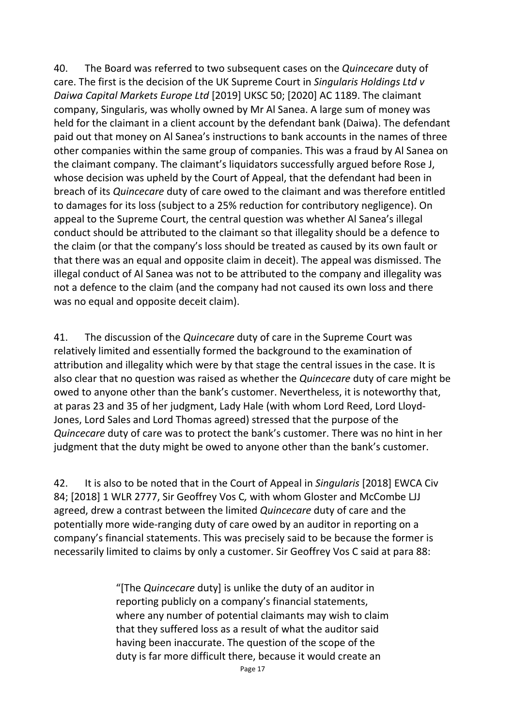40. The Board was referred to two subsequent cases on the *Quincecare* duty of care. The first is the decision of the UK Supreme Court in *Singularis Holdings Ltd v Daiwa Capital Markets Europe Ltd* [2019] UKSC 50; [2020] AC 1189. The claimant company, Singularis, was wholly owned by Mr Al Sanea. A large sum of money was held for the claimant in a client account by the defendant bank (Daiwa). The defendant paid out that money on Al Sanea's instructions to bank accounts in the names of three other companies within the same group of companies. This was a fraud by Al Sanea on the claimant company. The claimant's liquidators successfully argued before Rose J, whose decision was upheld by the Court of Appeal, that the defendant had been in breach of its *Quincecare* duty of care owed to the claimant and was therefore entitled to damages for its loss (subject to a 25% reduction for contributory negligence). On appeal to the Supreme Court, the central question was whether Al Sanea's illegal conduct should be attributed to the claimant so that illegality should be a defence to the claim (or that the company's loss should be treated as caused by its own fault or that there was an equal and opposite claim in deceit). The appeal was dismissed. The illegal conduct of Al Sanea was not to be attributed to the company and illegality was not a defence to the claim (and the company had not caused its own loss and there was no equal and opposite deceit claim).

41. The discussion of the *Quincecare* duty of care in the Supreme Court was relatively limited and essentially formed the background to the examination of attribution and illegality which were by that stage the central issues in the case. It is also clear that no question was raised as whether the *Quincecare* duty of care might be owed to anyone other than the bank's customer. Nevertheless, it is noteworthy that, at paras 23 and 35 of her judgment, Lady Hale (with whom Lord Reed, Lord Lloyd-Jones, Lord Sales and Lord Thomas agreed) stressed that the purpose of the *Quincecare* duty of care was to protect the bank's customer. There was no hint in her judgment that the duty might be owed to anyone other than the bank's customer.

42. It is also to be noted that in the Court of Appeal in *Singularis* [2018] EWCA Civ 84; [2018] 1 WLR 2777, Sir Geoffrey Vos C*,* with whom Gloster and McCombe LJJ agreed, drew a contrast between the limited *Quincecare* duty of care and the potentially more wide-ranging duty of care owed by an auditor in reporting on a company's financial statements. This was precisely said to be because the former is necessarily limited to claims by only a customer. Sir Geoffrey Vos C said at para 88:

> "[The *Quincecare* duty] is unlike the duty of an auditor in reporting publicly on a company's financial statements, where any number of potential claimants may wish to claim that they suffered loss as a result of what the auditor said having been inaccurate. The question of the scope of the duty is far more difficult there, because it would create an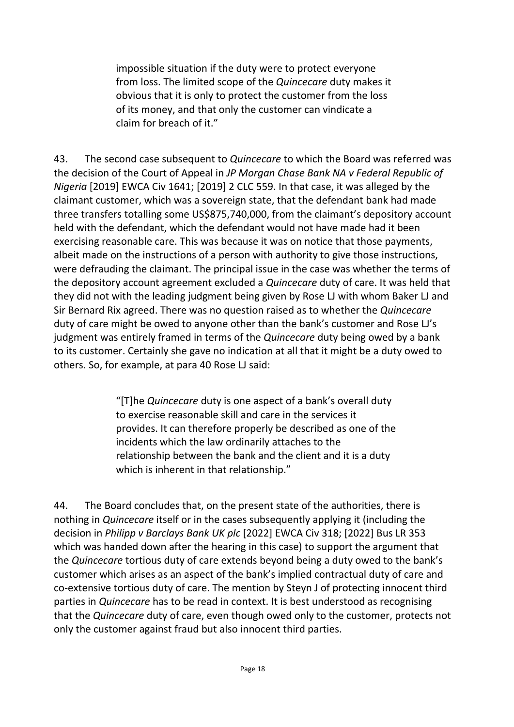impossible situation if the duty were to protect everyone from loss. The limited scope of the *Quincecare* duty makes it obvious that it is only to protect the customer from the loss of its money, and that only the customer can vindicate a claim for breach of it."

43. The second case subsequent to *Quincecare* to which the Board was referred was the decision of the Court of Appeal in *JP Morgan Chase Bank NA v Federal Republic of Nigeria* [2019] EWCA Civ 1641; [2019] 2 CLC 559. In that case, it was alleged by the claimant customer, which was a sovereign state, that the defendant bank had made three transfers totalling some US\$875,740,000, from the claimant's depository account held with the defendant, which the defendant would not have made had it been exercising reasonable care. This was because it was on notice that those payments, albeit made on the instructions of a person with authority to give those instructions, were defrauding the claimant. The principal issue in the case was whether the terms of the depository account agreement excluded a *Quincecare* duty of care. It was held that they did not with the leading judgment being given by Rose LJ with whom Baker LJ and Sir Bernard Rix agreed. There was no question raised as to whether the *Quincecare*  duty of care might be owed to anyone other than the bank's customer and Rose LJ's judgment was entirely framed in terms of the *Quincecare* duty being owed by a bank to its customer. Certainly she gave no indication at all that it might be a duty owed to others. So, for example, at para 40 Rose LJ said:

> "[T]he *Quincecare* duty is one aspect of a bank's overall duty to exercise reasonable skill and care in the services it provides. It can therefore properly be described as one of the incidents which the law ordinarily attaches to the relationship between the bank and the client and it is a duty which is inherent in that relationship."

44. The Board concludes that, on the present state of the authorities, there is nothing in *Quincecare* itself or in the cases subsequently applying it (including the decision in *Philipp v Barclays Bank UK plc* [2022] EWCA Civ 318; [2022] Bus LR 353 which was handed down after the hearing in this case) to support the argument that the *Quincecare* tortious duty of care extends beyond being a duty owed to the bank's customer which arises as an aspect of the bank's implied contractual duty of care and co-extensive tortious duty of care. The mention by Steyn J of protecting innocent third parties in *Quincecare* has to be read in context. It is best understood as recognising that the *Quincecare* duty of care, even though owed only to the customer, protects not only the customer against fraud but also innocent third parties.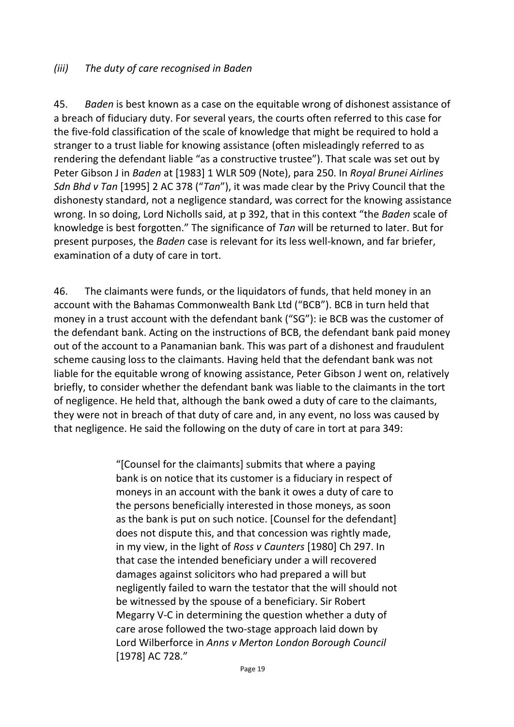#### *(iii) The duty of care recognised in Baden*

45. *Baden* is best known as a case on the equitable wrong of dishonest assistance of a breach of fiduciary duty. For several years, the courts often referred to this case for the five-fold classification of the scale of knowledge that might be required to hold a stranger to a trust liable for knowing assistance (often misleadingly referred to as rendering the defendant liable "as a constructive trustee"). That scale was set out by Peter Gibson J in *Baden* at [1983] 1 WLR 509 (Note), para 250. In *Royal Brunei Airlines Sdn Bhd v Tan* [1995] 2 AC 378 ("*Tan*"), it was made clear by the Privy Council that the dishonesty standard, not a negligence standard, was correct for the knowing assistance wrong. In so doing, Lord Nicholls said, at p 392, that in this context "the *Baden* scale of knowledge is best forgotten." The significance of *Tan* will be returned to later. But for present purposes, the *Baden* case is relevant for its less well-known, and far briefer, examination of a duty of care in tort.

46. The claimants were funds, or the liquidators of funds, that held money in an account with the Bahamas Commonwealth Bank Ltd ("BCB"). BCB in turn held that money in a trust account with the defendant bank ("SG"): ie BCB was the customer of the defendant bank. Acting on the instructions of BCB, the defendant bank paid money out of the account to a Panamanian bank. This was part of a dishonest and fraudulent scheme causing loss to the claimants. Having held that the defendant bank was not liable for the equitable wrong of knowing assistance, Peter Gibson J went on, relatively briefly, to consider whether the defendant bank was liable to the claimants in the tort of negligence. He held that, although the bank owed a duty of care to the claimants, they were not in breach of that duty of care and, in any event, no loss was caused by that negligence. He said the following on the duty of care in tort at para 349:

> "[Counsel for the claimants] submits that where a paying bank is on notice that its customer is a fiduciary in respect of moneys in an account with the bank it owes a duty of care to the persons beneficially interested in those moneys, as soon as the bank is put on such notice. [Counsel for the defendant] does not dispute this, and that concession was rightly made, in my view, in the light of *Ross v Caunters* [1980] Ch 297. In that case the intended beneficiary under a will recovered damages against solicitors who had prepared a will but negligently failed to warn the testator that the will should not be witnessed by the spouse of a beneficiary. Sir Robert Megarry V-C in determining the question whether a duty of care arose followed the two-stage approach laid down by Lord Wilberforce in *Anns v Merton London Borough Council*  [1978] AC 728."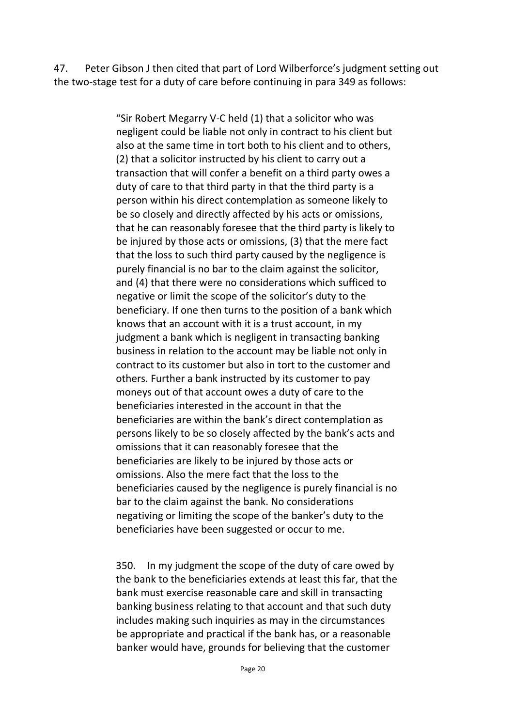47. Peter Gibson J then cited that part of Lord Wilberforce's judgment setting out the two-stage test for a duty of care before continuing in para 349 as follows:

> "Sir Robert Megarry V-C held (1) that a solicitor who was negligent could be liable not only in contract to his client but also at the same time in tort both to his client and to others, (2) that a solicitor instructed by his client to carry out a transaction that will confer a benefit on a third party owes a duty of care to that third party in that the third party is a person within his direct contemplation as someone likely to be so closely and directly affected by his acts or omissions, that he can reasonably foresee that the third party is likely to be injured by those acts or omissions, (3) that the mere fact that the loss to such third party caused by the negligence is purely financial is no bar to the claim against the solicitor, and (4) that there were no considerations which sufficed to negative or limit the scope of the solicitor's duty to the beneficiary. If one then turns to the position of a bank which knows that an account with it is a trust account, in my judgment a bank which is negligent in transacting banking business in relation to the account may be liable not only in contract to its customer but also in tort to the customer and others. Further a bank instructed by its customer to pay moneys out of that account owes a duty of care to the beneficiaries interested in the account in that the beneficiaries are within the bank's direct contemplation as persons likely to be so closely affected by the bank's acts and omissions that it can reasonably foresee that the beneficiaries are likely to be injured by those acts or omissions. Also the mere fact that the loss to the beneficiaries caused by the negligence is purely financial is no bar to the claim against the bank. No considerations negativing or limiting the scope of the banker's duty to the beneficiaries have been suggested or occur to me.

> 350. In my judgment the scope of the duty of care owed by the bank to the beneficiaries extends at least this far, that the bank must exercise reasonable care and skill in transacting banking business relating to that account and that such duty includes making such inquiries as may in the circumstances be appropriate and practical if the bank has, or a reasonable banker would have, grounds for believing that the customer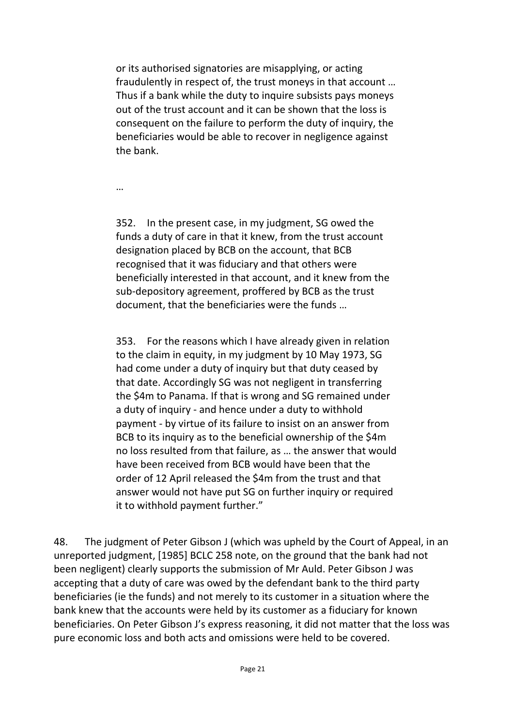or its authorised signatories are misapplying, or acting fraudulently in respect of, the trust moneys in that account … Thus if a bank while the duty to inquire subsists pays moneys out of the trust account and it can be shown that the loss is consequent on the failure to perform the duty of inquiry, the beneficiaries would be able to recover in negligence against the bank.

…

352. In the present case, in my judgment, SG owed the funds a duty of care in that it knew, from the trust account designation placed by BCB on the account, that BCB recognised that it was fiduciary and that others were beneficially interested in that account, and it knew from the sub-depository agreement, proffered by BCB as the trust document, that the beneficiaries were the funds …

353. For the reasons which I have already given in relation to the claim in equity, in my judgment by 10 May 1973, SG had come under a duty of inquiry but that duty ceased by that date. Accordingly SG was not negligent in transferring the \$4m to Panama. If that is wrong and SG remained under a duty of inquiry - and hence under a duty to withhold payment - by virtue of its failure to insist on an answer from BCB to its inquiry as to the beneficial ownership of the \$4m no loss resulted from that failure, as … the answer that would have been received from BCB would have been that the order of 12 April released the \$4m from the trust and that answer would not have put SG on further inquiry or required it to withhold payment further."

48. The judgment of Peter Gibson J (which was upheld by the Court of Appeal, in an unreported judgment, [1985] BCLC 258 note, on the ground that the bank had not been negligent) clearly supports the submission of Mr Auld. Peter Gibson J was accepting that a duty of care was owed by the defendant bank to the third party beneficiaries (ie the funds) and not merely to its customer in a situation where the bank knew that the accounts were held by its customer as a fiduciary for known beneficiaries. On Peter Gibson J's express reasoning, it did not matter that the loss was pure economic loss and both acts and omissions were held to be covered.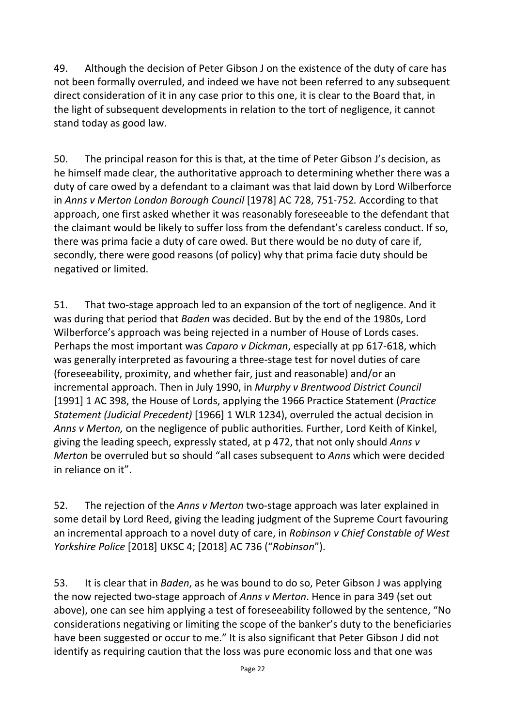49. Although the decision of Peter Gibson J on the existence of the duty of care has not been formally overruled, and indeed we have not been referred to any subsequent direct consideration of it in any case prior to this one, it is clear to the Board that, in the light of subsequent developments in relation to the tort of negligence, it cannot stand today as good law.

50. The principal reason for this is that, at the time of Peter Gibson J's decision, as he himself made clear, the authoritative approach to determining whether there was a duty of care owed by a defendant to a claimant was that laid down by Lord Wilberforce in *Anns v Merton London Borough Council* [1978] AC 728, 751-752*.* According to that approach, one first asked whether it was reasonably foreseeable to the defendant that the claimant would be likely to suffer loss from the defendant's careless conduct. If so, there was prima facie a duty of care owed. But there would be no duty of care if, secondly, there were good reasons (of policy) why that prima facie duty should be negatived or limited.

51. That two-stage approach led to an expansion of the tort of negligence. And it was during that period that *Baden* was decided. But by the end of the 1980s, Lord Wilberforce's approach was being rejected in a number of House of Lords cases. Perhaps the most important was *Caparo v Dickman*, especially at pp 617-618, which was generally interpreted as favouring a three-stage test for novel duties of care (foreseeability, proximity, and whether fair, just and reasonable) and/or an incremental approach. Then in July 1990, in *Murphy v Brentwood District Council*  [1991] 1 AC 398, the House of Lords, applying the 1966 Practice Statement (*Practice Statement (Judicial Precedent)* [1966] 1 WLR 1234), overruled the actual decision in *Anns v Merton,* on the negligence of public authorities*.* Further, Lord Keith of Kinkel, giving the leading speech, expressly stated, at p 472, that not only should *Anns v Merton* be overruled but so should "all cases subsequent to *Anns* which were decided in reliance on it".

52. The rejection of the *Anns v Merton* two-stage approach was later explained in some detail by Lord Reed, giving the leading judgment of the Supreme Court favouring an incremental approach to a novel duty of care, in *Robinson v Chief Constable of West Yorkshire Police* [2018] UKSC 4; [2018] AC 736 ("*Robinson*").

53. It is clear that in *Baden*, as he was bound to do so, Peter Gibson J was applying the now rejected two-stage approach of *Anns v Merton*. Hence in para 349 (set out above), one can see him applying a test of foreseeability followed by the sentence, "No considerations negativing or limiting the scope of the banker's duty to the beneficiaries have been suggested or occur to me." It is also significant that Peter Gibson J did not identify as requiring caution that the loss was pure economic loss and that one was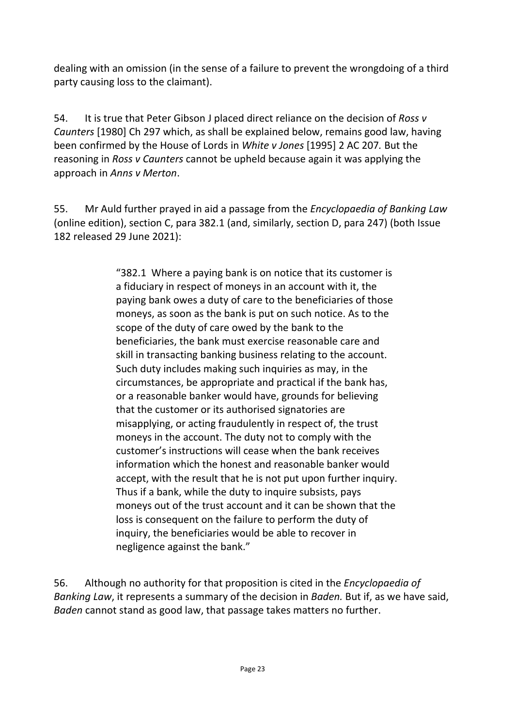dealing with an omission (in the sense of a failure to prevent the wrongdoing of a third party causing loss to the claimant).

54. It is true that Peter Gibson J placed direct reliance on the decision of *Ross v Caunters* [1980] Ch 297 which, as shall be explained below, remains good law, having been confirmed by the House of Lords in *White v Jones* [1995] 2 AC 207*.* But the reasoning in *Ross v Caunters* cannot be upheld because again it was applying the approach in *Anns v Merton*.

55. Mr Auld further prayed in aid a passage from the *Encyclopaedia of Banking Law*  (online edition), section C, para 382.1 (and, similarly, section D, para 247) (both Issue 182 released 29 June 2021):

> "382.1 Where a paying bank is on notice that its customer is a fiduciary in respect of moneys in an account with it, the paying bank owes a duty of care to the beneficiaries of those moneys, as soon as the bank is put on such notice. As to the scope of the duty of care owed by the bank to the beneficiaries, the bank must exercise reasonable care and skill in transacting banking business relating to the account. Such duty includes making such inquiries as may, in the circumstances, be appropriate and practical if the bank has, or a reasonable banker would have, grounds for believing that the customer or its authorised signatories are misapplying, or acting fraudulently in respect of, the trust moneys in the account. The duty not to comply with the customer's instructions will cease when the bank receives information which the honest and reasonable banker would accept, with the result that he is not put upon further inquiry. Thus if a bank, while the duty to inquire subsists, pays moneys out of the trust account and it can be shown that the loss is consequent on the failure to perform the duty of inquiry, the beneficiaries would be able to recover in negligence against the bank."

56. Although no authority for that proposition is cited in the *Encyclopaedia of Banking Law*, it represents a summary of the decision in *Baden.* But if, as we have said, *Baden* cannot stand as good law, that passage takes matters no further.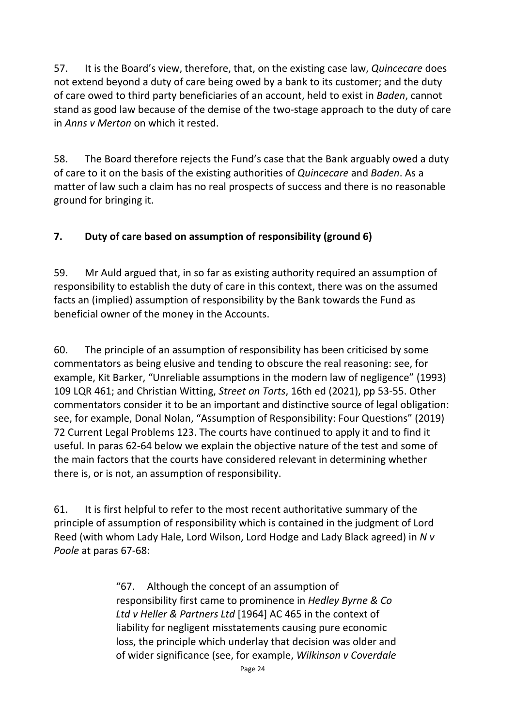57. It is the Board's view, therefore, that, on the existing case law, *Quincecare* does not extend beyond a duty of care being owed by a bank to its customer; and the duty of care owed to third party beneficiaries of an account, held to exist in *Baden*, cannot stand as good law because of the demise of the two-stage approach to the duty of care in *Anns v Merton* on which it rested.

58. The Board therefore rejects the Fund's case that the Bank arguably owed a duty of care to it on the basis of the existing authorities of *Quincecare* and *Baden*. As a matter of law such a claim has no real prospects of success and there is no reasonable ground for bringing it.

## **7. Duty of care based on assumption of responsibility (ground 6)**

59. Mr Auld argued that, in so far as existing authority required an assumption of responsibility to establish the duty of care in this context, there was on the assumed facts an (implied) assumption of responsibility by the Bank towards the Fund as beneficial owner of the money in the Accounts.

60. The principle of an assumption of responsibility has been criticised by some commentators as being elusive and tending to obscure the real reasoning: see, for example, Kit Barker, "Unreliable assumptions in the modern law of negligence" (1993) 109 LQR 461; and Christian Witting, *Street on Torts*, 16th ed (2021), pp 53-55. Other commentators consider it to be an important and distinctive source of legal obligation: see, for example, Donal Nolan, "Assumption of Responsibility: Four Questions" (2019) 72 Current Legal Problems 123. The courts have continued to apply it and to find it useful. In paras 62-64 below we explain the objective nature of the test and some of the main factors that the courts have considered relevant in determining whether there is, or is not, an assumption of responsibility.

61. It is first helpful to refer to the most recent authoritative summary of the principle of assumption of responsibility which is contained in the judgment of Lord Reed (with whom Lady Hale, Lord Wilson, Lord Hodge and Lady Black agreed) in *N v Poole* at paras 67-68:

> "67. Although the concept of an assumption of responsibility first came to prominence in *Hedley Byrne & Co Ltd v Heller & Partners Ltd* [1964] AC 465 in the context of liability for negligent misstatements causing pure economic loss, the principle which underlay that decision was older and of wider significance (see, for example, *Wilkinson v Coverdale*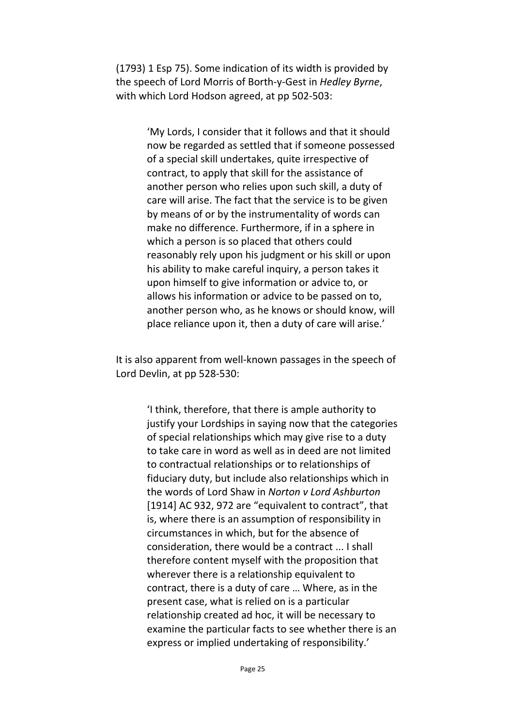(1793) 1 Esp 75). Some indication of its width is provided by the speech of Lord Morris of Borth-y-Gest in *Hedley Byrne*, with which Lord Hodson agreed, at pp 502-503:

> 'My Lords, I consider that it follows and that it should now be regarded as settled that if someone possessed of a special skill undertakes, quite irrespective of contract, to apply that skill for the assistance of another person who relies upon such skill, a duty of care will arise. The fact that the service is to be given by means of or by the instrumentality of words can make no difference. Furthermore, if in a sphere in which a person is so placed that others could reasonably rely upon his judgment or his skill or upon his ability to make careful inquiry, a person takes it upon himself to give information or advice to, or allows his information or advice to be passed on to, another person who, as he knows or should know, will place reliance upon it, then a duty of care will arise.'

It is also apparent from well-known passages in the speech of Lord Devlin, at pp 528-530:

> 'I think, therefore, that there is ample authority to justify your Lordships in saying now that the categories of special relationships which may give rise to a duty to take care in word as well as in deed are not limited to contractual relationships or to relationships of fiduciary duty, but include also relationships which in the words of Lord Shaw in *Norton v Lord Ashburton* [1914] AC 932, 972 are "equivalent to contract", that is, where there is an assumption of responsibility in circumstances in which, but for the absence of consideration, there would be a contract ... I shall therefore content myself with the proposition that wherever there is a relationship equivalent to contract, there is a duty of care … Where, as in the present case, what is relied on is a particular relationship created ad hoc, it will be necessary to examine the particular facts to see whether there is an express or implied undertaking of responsibility.'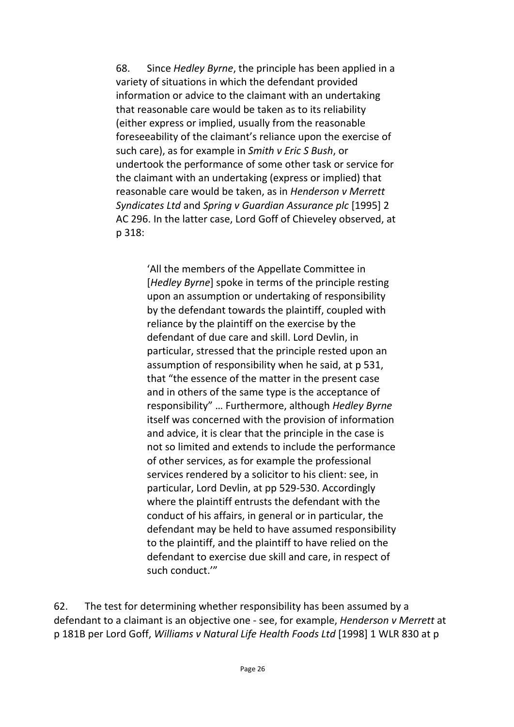68. Since *Hedley Byrne*, the principle has been applied in a variety of situations in which the defendant provided information or advice to the claimant with an undertaking that reasonable care would be taken as to its reliability (either express or implied, usually from the reasonable foreseeability of the claimant's reliance upon the exercise of such care), as for example in *Smith v Eric S Bush*, or undertook the performance of some other task or service for the claimant with an undertaking (express or implied) that reasonable care would be taken, as in *Henderson v Merrett Syndicates Ltd* and *Spring v Guardian Assurance plc* [1995] 2 AC 296. In the latter case, Lord Goff of Chieveley observed, at p 318:

> 'All the members of the Appellate Committee in [*Hedley Byrne*] spoke in terms of the principle resting upon an assumption or undertaking of responsibility by the defendant towards the plaintiff, coupled with reliance by the plaintiff on the exercise by the defendant of due care and skill. Lord Devlin, in particular, stressed that the principle rested upon an assumption of responsibility when he said, at p 531, that "the essence of the matter in the present case and in others of the same type is the acceptance of responsibility" … Furthermore, although *Hedley Byrne* itself was concerned with the provision of information and advice, it is clear that the principle in the case is not so limited and extends to include the performance of other services, as for example the professional services rendered by a solicitor to his client: see, in particular, Lord Devlin, at pp 529-530. Accordingly where the plaintiff entrusts the defendant with the conduct of his affairs, in general or in particular, the defendant may be held to have assumed responsibility to the plaintiff, and the plaintiff to have relied on the defendant to exercise due skill and care, in respect of such conduct.'"

62. The test for determining whether responsibility has been assumed by a defendant to a claimant is an objective one - see, for example, *Henderson v Merrett* at p 181B per Lord Goff, *Williams v Natural Life Health Foods Ltd* [1998] 1 WLR 830 at p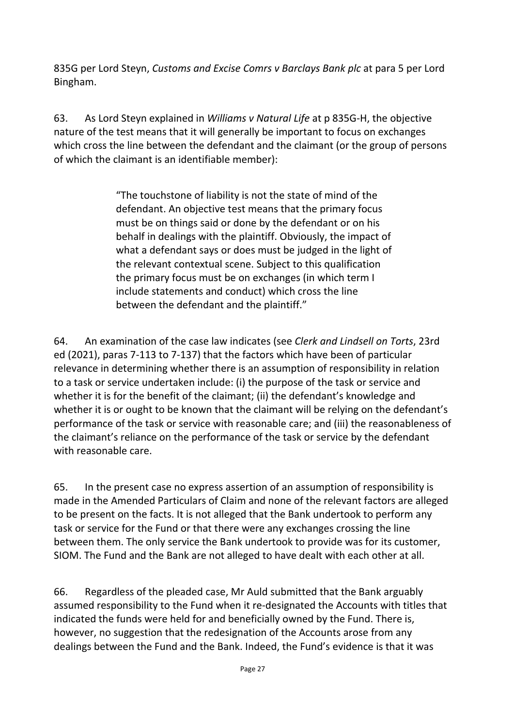835G per Lord Steyn, *Customs and Excise Comrs v Barclays Bank plc* at para 5 per Lord Bingham.

63. As Lord Steyn explained in *Williams v Natural Life* at p 835G-H, the objective nature of the test means that it will generally be important to focus on exchanges which cross the line between the defendant and the claimant (or the group of persons of which the claimant is an identifiable member):

> "The touchstone of liability is not the state of mind of the defendant. An objective test means that the primary focus must be on things said or done by the defendant or on his behalf in dealings with the plaintiff. Obviously, the impact of what a defendant says or does must be judged in the light of the relevant contextual scene. Subject to this qualification the primary focus must be on exchanges (in which term I include statements and conduct) which cross the line between the defendant and the plaintiff."

64. An examination of the case law indicates (see *Clerk and Lindsell on Torts*, 23rd ed (2021), paras 7-113 to 7-137) that the factors which have been of particular relevance in determining whether there is an assumption of responsibility in relation to a task or service undertaken include: (i) the purpose of the task or service and whether it is for the benefit of the claimant; (ii) the defendant's knowledge and whether it is or ought to be known that the claimant will be relying on the defendant's performance of the task or service with reasonable care; and (iii) the reasonableness of the claimant's reliance on the performance of the task or service by the defendant with reasonable care.

65. In the present case no express assertion of an assumption of responsibility is made in the Amended Particulars of Claim and none of the relevant factors are alleged to be present on the facts. It is not alleged that the Bank undertook to perform any task or service for the Fund or that there were any exchanges crossing the line between them. The only service the Bank undertook to provide was for its customer, SIOM. The Fund and the Bank are not alleged to have dealt with each other at all.

66. Regardless of the pleaded case, Mr Auld submitted that the Bank arguably assumed responsibility to the Fund when it re-designated the Accounts with titles that indicated the funds were held for and beneficially owned by the Fund. There is, however, no suggestion that the redesignation of the Accounts arose from any dealings between the Fund and the Bank. Indeed, the Fund's evidence is that it was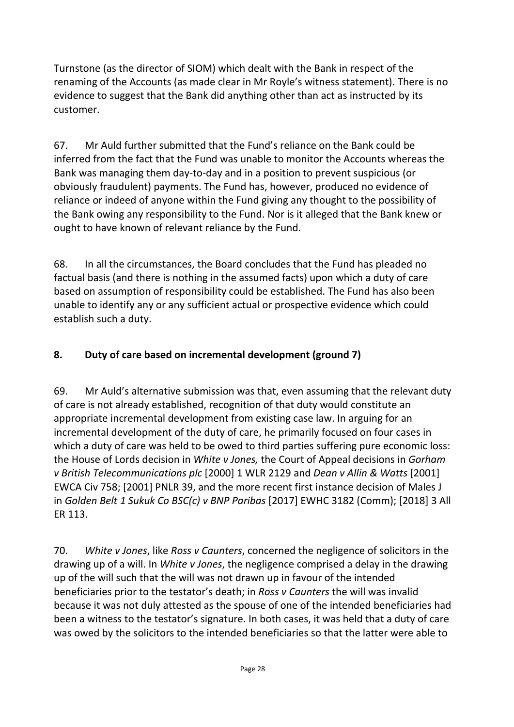Turnstone (as the director of SIOM) which dealt with the Bank in respect of the renaming of the Accounts (as made clear in Mr Royle's witness statement). There is no evidence to suggest that the Bank did anything other than act as instructed by its customer.

67. Mr Auld further submitted that the Fund's reliance on the Bank could be inferred from the fact that the Fund was unable to monitor the Accounts whereas the Bank was managing them day-to-day and in a position to prevent suspicious (or obviously fraudulent) payments. The Fund has, however, produced no evidence of reliance or indeed of anyone within the Fund giving any thought to the possibility of the Bank owing any responsibility to the Fund. Nor is it alleged that the Bank knew or ought to have known of relevant reliance by the Fund.

68. In all the circumstances, the Board concludes that the Fund has pleaded no factual basis (and there is nothing in the assumed facts) upon which a duty of care based on assumption of responsibility could be established. The Fund has also been unable to identify any or any sufficient actual or prospective evidence which could establish such a duty.

## **8. Duty of care based on incremental development (ground 7)**

69. Mr Auld's alternative submission was that, even assuming that the relevant duty of care is not already established, recognition of that duty would constitute an appropriate incremental development from existing case law. In arguing for an incremental development of the duty of care, he primarily focused on four cases in which a duty of care was held to be owed to third parties suffering pure economic loss: the House of Lords decision in *White v Jones,* the Court of Appeal decisions in *Gorham v British Telecommunications plc* [2000] 1 WLR 2129 and *Dean v Allin & Watts* [2001] EWCA Civ 758; [2001] PNLR 39, and the more recent first instance decision of Males J in *Golden Belt 1 Sukuk Co BSC(c) v BNP Paribas* [2017] EWHC 3182 (Comm); [2018] 3 All ER 113.

70. *White v Jones*, like *Ross v Caunters*, concerned the negligence of solicitors in the drawing up of a will. In *White v Jones*, the negligence comprised a delay in the drawing up of the will such that the will was not drawn up in favour of the intended beneficiaries prior to the testator's death; in *Ross v Caunters* the will was invalid because it was not duly attested as the spouse of one of the intended beneficiaries had been a witness to the testator's signature. In both cases, it was held that a duty of care was owed by the solicitors to the intended beneficiaries so that the latter were able to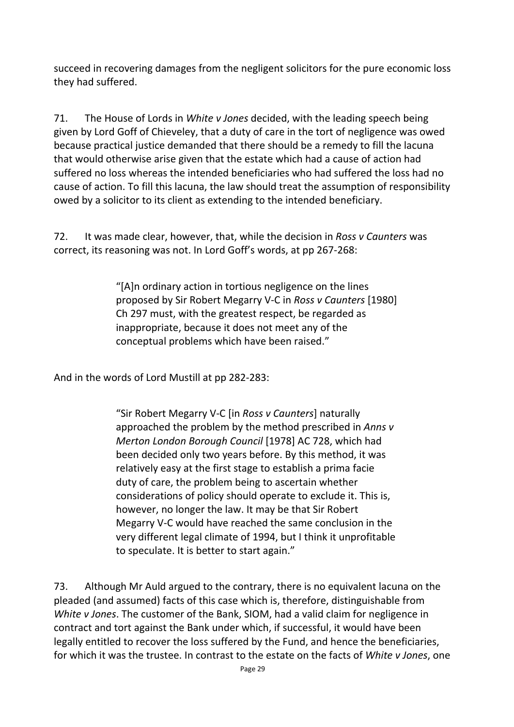succeed in recovering damages from the negligent solicitors for the pure economic loss they had suffered.

71. The House of Lords in *White v Jones* decided, with the leading speech being given by Lord Goff of Chieveley, that a duty of care in the tort of negligence was owed because practical justice demanded that there should be a remedy to fill the lacuna that would otherwise arise given that the estate which had a cause of action had suffered no loss whereas the intended beneficiaries who had suffered the loss had no cause of action. To fill this lacuna, the law should treat the assumption of responsibility owed by a solicitor to its client as extending to the intended beneficiary.

72. It was made clear, however, that, while the decision in *Ross v Caunters* was correct, its reasoning was not. In Lord Goff's words, at pp 267-268:

> "[A]n ordinary action in tortious negligence on the lines proposed by Sir Robert Megarry V-C in *Ross v Caunters* [1980] Ch 297 must, with the greatest respect, be regarded as inappropriate, because it does not meet any of the conceptual problems which have been raised."

And in the words of Lord Mustill at pp 282-283:

"Sir Robert Megarry V-C [in *Ross v Caunters*] naturally approached the problem by the method prescribed in *Anns v Merton London Borough Council* [1978] AC 728, which had been decided only two years before. By this method, it was relatively easy at the first stage to establish a prima facie duty of care, the problem being to ascertain whether considerations of policy should operate to exclude it. This is, however, no longer the law. It may be that Sir Robert Megarry V-C would have reached the same conclusion in the very different legal climate of 1994, but I think it unprofitable to speculate. It is better to start again."

73. Although Mr Auld argued to the contrary, there is no equivalent lacuna on the pleaded (and assumed) facts of this case which is, therefore, distinguishable from *White v Jones*. The customer of the Bank, SIOM, had a valid claim for negligence in contract and tort against the Bank under which, if successful, it would have been legally entitled to recover the loss suffered by the Fund, and hence the beneficiaries, for which it was the trustee. In contrast to the estate on the facts of *White v Jones*, one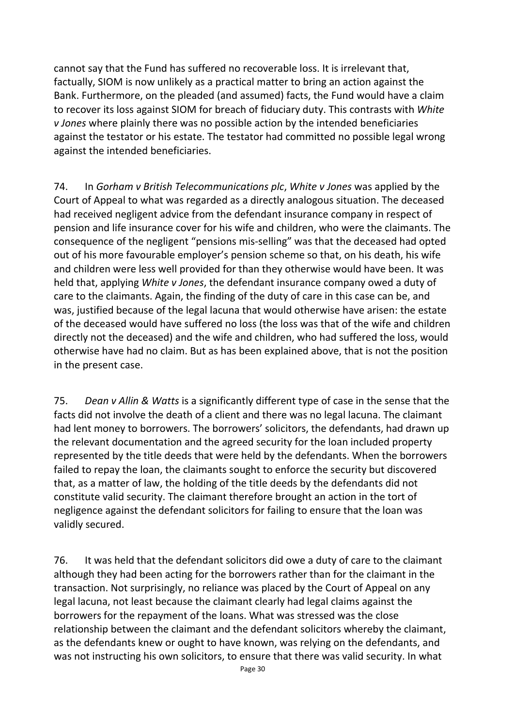cannot say that the Fund has suffered no recoverable loss. It is irrelevant that, factually, SIOM is now unlikely as a practical matter to bring an action against the Bank. Furthermore, on the pleaded (and assumed) facts, the Fund would have a claim to recover its loss against SIOM for breach of fiduciary duty. This contrasts with *White v Jones* where plainly there was no possible action by the intended beneficiaries against the testator or his estate. The testator had committed no possible legal wrong against the intended beneficiaries.

74. In *Gorham v British Telecommunications plc*, *White v Jones* was applied by the Court of Appeal to what was regarded as a directly analogous situation. The deceased had received negligent advice from the defendant insurance company in respect of pension and life insurance cover for his wife and children, who were the claimants. The consequence of the negligent "pensions mis-selling" was that the deceased had opted out of his more favourable employer's pension scheme so that, on his death, his wife and children were less well provided for than they otherwise would have been. It was held that, applying *White v Jones*, the defendant insurance company owed a duty of care to the claimants. Again, the finding of the duty of care in this case can be, and was, justified because of the legal lacuna that would otherwise have arisen: the estate of the deceased would have suffered no loss (the loss was that of the wife and children directly not the deceased) and the wife and children, who had suffered the loss, would otherwise have had no claim. But as has been explained above, that is not the position in the present case.

75. *Dean v Allin & Watts* is a significantly different type of case in the sense that the facts did not involve the death of a client and there was no legal lacuna. The claimant had lent money to borrowers. The borrowers' solicitors, the defendants, had drawn up the relevant documentation and the agreed security for the loan included property represented by the title deeds that were held by the defendants. When the borrowers failed to repay the loan, the claimants sought to enforce the security but discovered that, as a matter of law, the holding of the title deeds by the defendants did not constitute valid security. The claimant therefore brought an action in the tort of negligence against the defendant solicitors for failing to ensure that the loan was validly secured.

76. It was held that the defendant solicitors did owe a duty of care to the claimant although they had been acting for the borrowers rather than for the claimant in the transaction. Not surprisingly, no reliance was placed by the Court of Appeal on any legal lacuna, not least because the claimant clearly had legal claims against the borrowers for the repayment of the loans. What was stressed was the close relationship between the claimant and the defendant solicitors whereby the claimant, as the defendants knew or ought to have known, was relying on the defendants, and was not instructing his own solicitors, to ensure that there was valid security. In what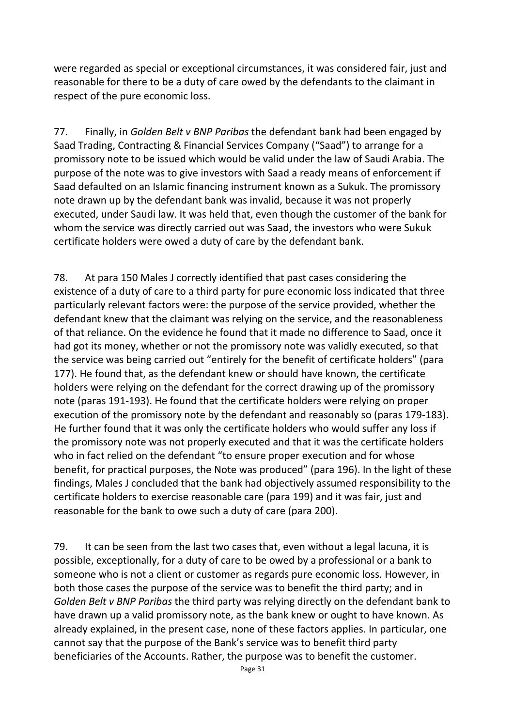were regarded as special or exceptional circumstances, it was considered fair, just and reasonable for there to be a duty of care owed by the defendants to the claimant in respect of the pure economic loss.

77. Finally, in *Golden Belt v BNP Paribas* the defendant bank had been engaged by Saad Trading, Contracting & Financial Services Company ("Saad") to arrange for a promissory note to be issued which would be valid under the law of Saudi Arabia. The purpose of the note was to give investors with Saad a ready means of enforcement if Saad defaulted on an Islamic financing instrument known as a Sukuk. The promissory note drawn up by the defendant bank was invalid, because it was not properly executed, under Saudi law. It was held that, even though the customer of the bank for whom the service was directly carried out was Saad, the investors who were Sukuk certificate holders were owed a duty of care by the defendant bank.

78. At para 150 Males J correctly identified that past cases considering the existence of a duty of care to a third party for pure economic loss indicated that three particularly relevant factors were: the purpose of the service provided, whether the defendant knew that the claimant was relying on the service, and the reasonableness of that reliance. On the evidence he found that it made no difference to Saad, once it had got its money, whether or not the promissory note was validly executed, so that the service was being carried out "entirely for the benefit of certificate holders" (para 177). He found that, as the defendant knew or should have known, the certificate holders were relying on the defendant for the correct drawing up of the promissory note (paras 191-193). He found that the certificate holders were relying on proper execution of the promissory note by the defendant and reasonably so (paras 179-183). He further found that it was only the certificate holders who would suffer any loss if the promissory note was not properly executed and that it was the certificate holders who in fact relied on the defendant "to ensure proper execution and for whose benefit, for practical purposes, the Note was produced" (para 196). In the light of these findings, Males J concluded that the bank had objectively assumed responsibility to the certificate holders to exercise reasonable care (para 199) and it was fair, just and reasonable for the bank to owe such a duty of care (para 200).

79. It can be seen from the last two cases that, even without a legal lacuna, it is possible, exceptionally, for a duty of care to be owed by a professional or a bank to someone who is not a client or customer as regards pure economic loss. However, in both those cases the purpose of the service was to benefit the third party; and in *Golden Belt v BNP Paribas* the third party was relying directly on the defendant bank to have drawn up a valid promissory note, as the bank knew or ought to have known. As already explained, in the present case, none of these factors applies. In particular, one cannot say that the purpose of the Bank's service was to benefit third party beneficiaries of the Accounts. Rather, the purpose was to benefit the customer.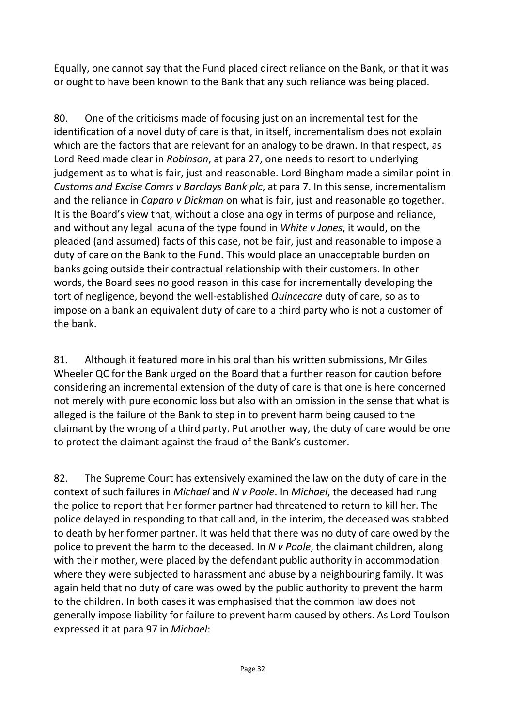Equally, one cannot say that the Fund placed direct reliance on the Bank, or that it was or ought to have been known to the Bank that any such reliance was being placed.

80. One of the criticisms made of focusing just on an incremental test for the identification of a novel duty of care is that, in itself, incrementalism does not explain which are the factors that are relevant for an analogy to be drawn. In that respect, as Lord Reed made clear in *Robinson*, at para 27, one needs to resort to underlying judgement as to what is fair, just and reasonable. Lord Bingham made a similar point in *Customs and Excise Comrs v Barclays Bank plc*, at para 7. In this sense, incrementalism and the reliance in *Caparo v Dickman* on what is fair, just and reasonable go together. It is the Board's view that, without a close analogy in terms of purpose and reliance, and without any legal lacuna of the type found in *White v Jones*, it would, on the pleaded (and assumed) facts of this case, not be fair, just and reasonable to impose a duty of care on the Bank to the Fund. This would place an unacceptable burden on banks going outside their contractual relationship with their customers. In other words, the Board sees no good reason in this case for incrementally developing the tort of negligence, beyond the well-established *Quincecare* duty of care, so as to impose on a bank an equivalent duty of care to a third party who is not a customer of the bank.

81. Although it featured more in his oral than his written submissions, Mr Giles Wheeler QC for the Bank urged on the Board that a further reason for caution before considering an incremental extension of the duty of care is that one is here concerned not merely with pure economic loss but also with an omission in the sense that what is alleged is the failure of the Bank to step in to prevent harm being caused to the claimant by the wrong of a third party. Put another way, the duty of care would be one to protect the claimant against the fraud of the Bank's customer.

82. The Supreme Court has extensively examined the law on the duty of care in the context of such failures in *Michael* and *N v Poole*. In *Michael*, the deceased had rung the police to report that her former partner had threatened to return to kill her. The police delayed in responding to that call and, in the interim, the deceased was stabbed to death by her former partner. It was held that there was no duty of care owed by the police to prevent the harm to the deceased. In *N v Poole*, the claimant children, along with their mother, were placed by the defendant public authority in accommodation where they were subjected to harassment and abuse by a neighbouring family. It was again held that no duty of care was owed by the public authority to prevent the harm to the children. In both cases it was emphasised that the common law does not generally impose liability for failure to prevent harm caused by others. As Lord Toulson expressed it at para 97 in *Michael*: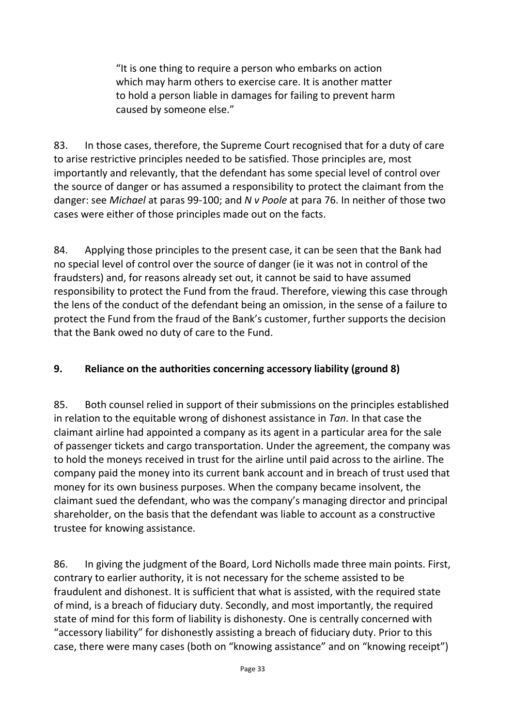"It is one thing to require a person who embarks on action which may harm others to exercise care. It is another matter to hold a person liable in damages for failing to prevent harm caused by someone else."

83. In those cases, therefore, the Supreme Court recognised that for a duty of care to arise restrictive principles needed to be satisfied. Those principles are, most importantly and relevantly, that the defendant has some special level of control over the source of danger or has assumed a responsibility to protect the claimant from the danger: see *Michael* at paras 99-100; and *N v Poole* at para 76. In neither of those two cases were either of those principles made out on the facts.

84. Applying those principles to the present case, it can be seen that the Bank had no special level of control over the source of danger (ie it was not in control of the fraudsters) and, for reasons already set out, it cannot be said to have assumed responsibility to protect the Fund from the fraud. Therefore, viewing this case through the lens of the conduct of the defendant being an omission, in the sense of a failure to protect the Fund from the fraud of the Bank's customer, further supports the decision that the Bank owed no duty of care to the Fund.

## **9. Reliance on the authorities concerning accessory liability (ground 8)**

85. Both counsel relied in support of their submissions on the principles established in relation to the equitable wrong of dishonest assistance in *Tan*. In that case the claimant airline had appointed a company as its agent in a particular area for the sale of passenger tickets and cargo transportation. Under the agreement, the company was to hold the moneys received in trust for the airline until paid across to the airline. The company paid the money into its current bank account and in breach of trust used that money for its own business purposes. When the company became insolvent, the claimant sued the defendant, who was the company's managing director and principal shareholder, on the basis that the defendant was liable to account as a constructive trustee for knowing assistance.

86. In giving the judgment of the Board, Lord Nicholls made three main points. First, contrary to earlier authority, it is not necessary for the scheme assisted to be fraudulent and dishonest. It is sufficient that what is assisted, with the required state of mind, is a breach of fiduciary duty. Secondly, and most importantly, the required state of mind for this form of liability is dishonesty. One is centrally concerned with "accessory liability" for dishonestly assisting a breach of fiduciary duty. Prior to this case, there were many cases (both on "knowing assistance" and on "knowing receipt")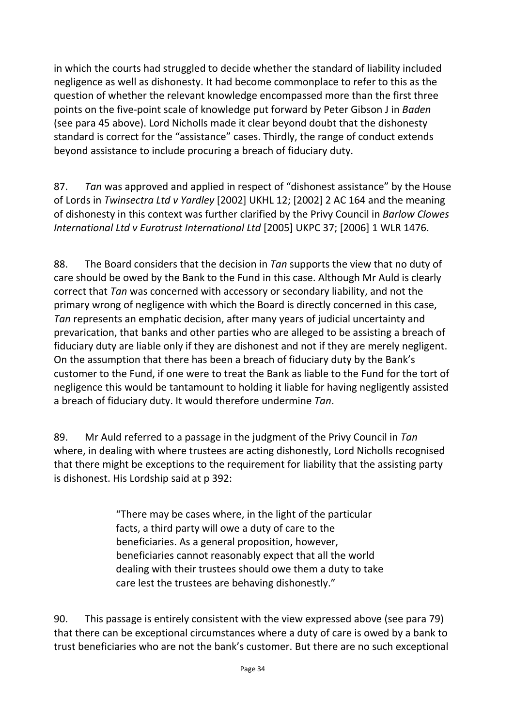in which the courts had struggled to decide whether the standard of liability included negligence as well as dishonesty. It had become commonplace to refer to this as the question of whether the relevant knowledge encompassed more than the first three points on the five-point scale of knowledge put forward by Peter Gibson J in *Baden* (see para 45 above). Lord Nicholls made it clear beyond doubt that the dishonesty standard is correct for the "assistance" cases. Thirdly, the range of conduct extends beyond assistance to include procuring a breach of fiduciary duty.

87. *Tan* was approved and applied in respect of "dishonest assistance" by the House of Lords in *Twinsectra Ltd v Yardley* [2002] UKHL 12; [2002] 2 AC 164 and the meaning of dishonesty in this context was further clarified by the Privy Council in *Barlow Clowes International Ltd v Eurotrust International Ltd* [2005] UKPC 37; [2006] 1 WLR 1476.

88. The Board considers that the decision in *Tan* supports the view that no duty of care should be owed by the Bank to the Fund in this case. Although Mr Auld is clearly correct that *Tan* was concerned with accessory or secondary liability, and not the primary wrong of negligence with which the Board is directly concerned in this case, *Tan* represents an emphatic decision, after many years of judicial uncertainty and prevarication, that banks and other parties who are alleged to be assisting a breach of fiduciary duty are liable only if they are dishonest and not if they are merely negligent. On the assumption that there has been a breach of fiduciary duty by the Bank's customer to the Fund, if one were to treat the Bank as liable to the Fund for the tort of negligence this would be tantamount to holding it liable for having negligently assisted a breach of fiduciary duty. It would therefore undermine *Tan*.

89. Mr Auld referred to a passage in the judgment of the Privy Council in *Tan*  where, in dealing with where trustees are acting dishonestly, Lord Nicholls recognised that there might be exceptions to the requirement for liability that the assisting party is dishonest. His Lordship said at p 392:

> "There may be cases where, in the light of the particular facts, a third party will owe a duty of care to the beneficiaries. As a general proposition, however, beneficiaries cannot reasonably expect that all the world dealing with their trustees should owe them a duty to take care lest the trustees are behaving dishonestly."

90. This passage is entirely consistent with the view expressed above (see para 79) that there can be exceptional circumstances where a duty of care is owed by a bank to trust beneficiaries who are not the bank's customer. But there are no such exceptional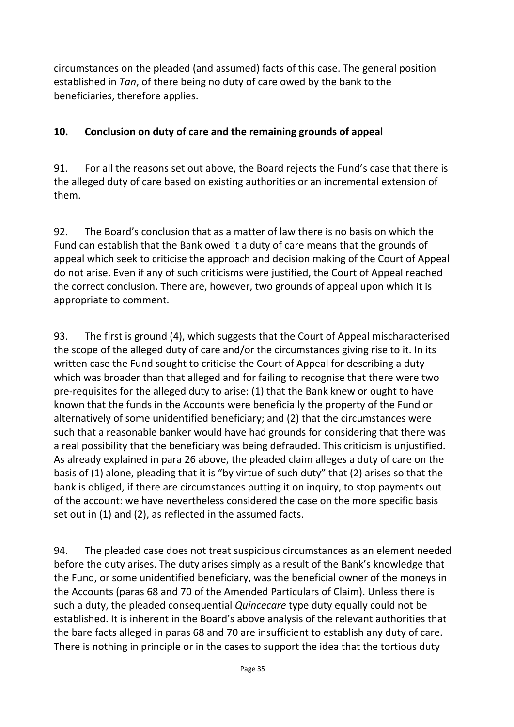circumstances on the pleaded (and assumed) facts of this case. The general position established in *Tan*, of there being no duty of care owed by the bank to the beneficiaries, therefore applies.

## **10. Conclusion on duty of care and the remaining grounds of appeal**

91. For all the reasons set out above, the Board rejects the Fund's case that there is the alleged duty of care based on existing authorities or an incremental extension of them.

92. The Board's conclusion that as a matter of law there is no basis on which the Fund can establish that the Bank owed it a duty of care means that the grounds of appeal which seek to criticise the approach and decision making of the Court of Appeal do not arise. Even if any of such criticisms were justified, the Court of Appeal reached the correct conclusion. There are, however, two grounds of appeal upon which it is appropriate to comment.

93. The first is ground (4), which suggests that the Court of Appeal mischaracterised the scope of the alleged duty of care and/or the circumstances giving rise to it. In its written case the Fund sought to criticise the Court of Appeal for describing a duty which was broader than that alleged and for failing to recognise that there were two pre-requisites for the alleged duty to arise: (1) that the Bank knew or ought to have known that the funds in the Accounts were beneficially the property of the Fund or alternatively of some unidentified beneficiary; and (2) that the circumstances were such that a reasonable banker would have had grounds for considering that there was a real possibility that the beneficiary was being defrauded. This criticism is unjustified. As already explained in para 26 above, the pleaded claim alleges a duty of care on the basis of (1) alone, pleading that it is "by virtue of such duty" that (2) arises so that the bank is obliged, if there are circumstances putting it on inquiry, to stop payments out of the account: we have nevertheless considered the case on the more specific basis set out in (1) and (2), as reflected in the assumed facts.

94. The pleaded case does not treat suspicious circumstances as an element needed before the duty arises. The duty arises simply as a result of the Bank's knowledge that the Fund, or some unidentified beneficiary, was the beneficial owner of the moneys in the Accounts (paras 68 and 70 of the Amended Particulars of Claim). Unless there is such a duty, the pleaded consequential *Quincecare* type duty equally could not be established. It is inherent in the Board's above analysis of the relevant authorities that the bare facts alleged in paras 68 and 70 are insufficient to establish any duty of care. There is nothing in principle or in the cases to support the idea that the tortious duty